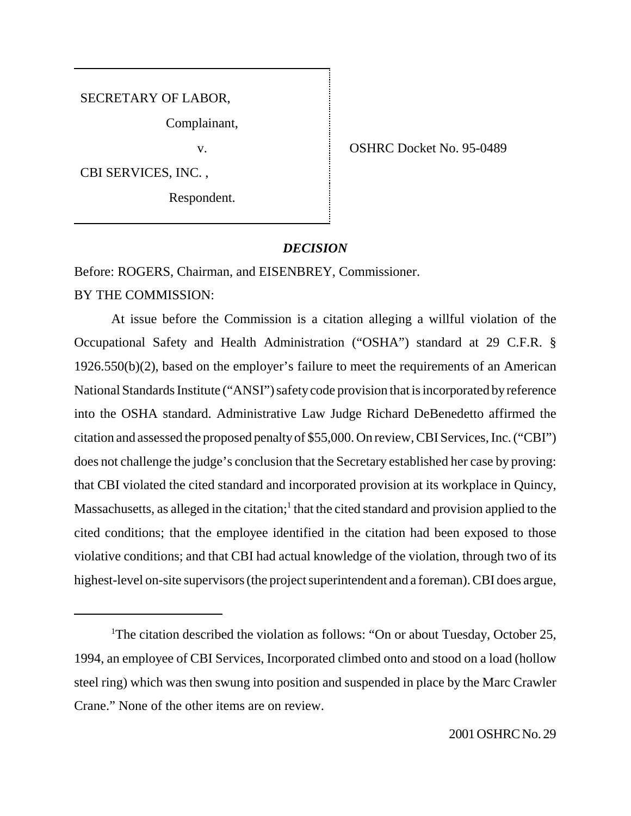SECRETARY OF LABOR,

Complainant,

CBI SERVICES, INC. ,

Respondent.

v. Same School Str. Contractor Contractor Contractor No. 95-0489

# *DECISION*

Before: ROGERS, Chairman, and EISENBREY, Commissioner.

BY THE COMMISSION:

At issue before the Commission is a citation alleging a willful violation of the Occupational Safety and Health Administration ("OSHA") standard at 29 C.F.R. § 1926.550(b)(2), based on the employer's failure to meet the requirements of an American National Standards Institute ("ANSI") safety code provision that is incorporated by reference into the OSHA standard. Administrative Law Judge Richard DeBenedetto affirmed the citation and assessed the proposed penalty of \$55,000. On review, CBI Services, Inc. ("CBI") does not challenge the judge's conclusion that the Secretary established her case by proving: that CBI violated the cited standard and incorporated provision at its workplace in Quincy, Massachusetts, as alleged in the citation; $<sup>1</sup>$  that the cited standard and provision applied to the</sup> cited conditions; that the employee identified in the citation had been exposed to those violative conditions; and that CBI had actual knowledge of the violation, through two of its highest-level on-site supervisors (the project superintendent and a foreman). CBI does argue,

<sup>&</sup>lt;sup>1</sup>The citation described the violation as follows: "On or about Tuesday, October 25, 1994, an employee of CBI Services, Incorporated climbed onto and stood on a load (hollow steel ring) which was then swung into position and suspended in place by the Marc Crawler Crane." None of the other items are on review.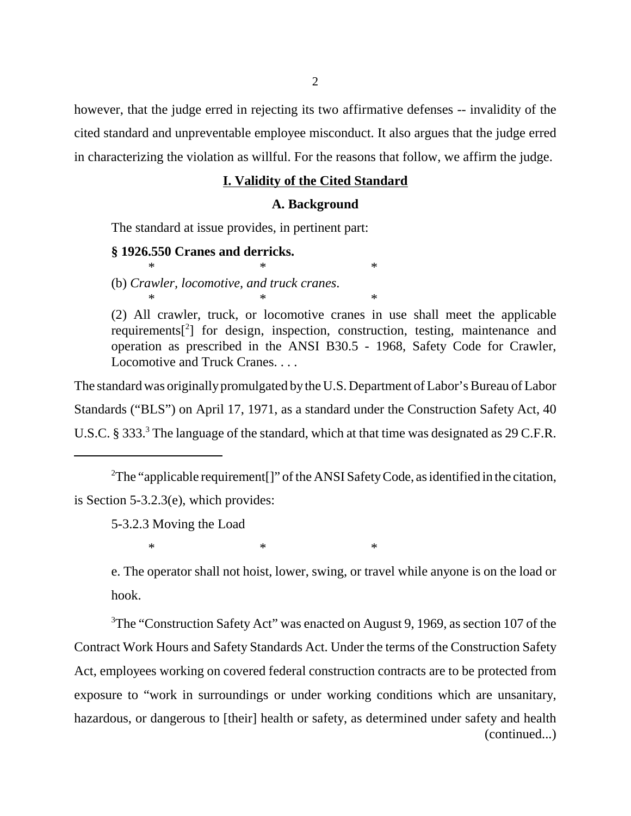however, that the judge erred in rejecting its two affirmative defenses -- invalidity of the cited standard and unpreventable employee misconduct. It also argues that the judge erred in characterizing the violation as willful. For the reasons that follow, we affirm the judge.

### **I. Validity of the Cited Standard**

### **A. Background**

The standard at issue provides, in pertinent part:

 $*$   $*$   $*$ 

### **§ 1926.550 Cranes and derricks.**

(b) *Crawler, locomotive, and truck cranes*.  $*$   $*$   $*$ 

(2) All crawler, truck, or locomotive cranes in use shall meet the applicable requirements<sup>[2</sup>] for design, inspection, construction, testing, maintenance and operation as prescribed in the ANSI B30.5 - 1968, Safety Code for Crawler, Locomotive and Truck Cranes. . . .

The standard was originally promulgated by the U.S. Department of Labor's Bureau of Labor Standards ("BLS") on April 17, 1971, as a standard under the Construction Safety Act, 40 U.S.C. § 333.<sup>3</sup> The language of the standard, which at that time was designated as 29 C.F.R.

<sup>2</sup>The "applicable requirement[]" of the ANSI Safety Code, as identified in the citation, is Section 5-3.2.3(e), which provides:

5-3.2.3 Moving the Load

 $*$   $*$   $*$ 

e. The operator shall not hoist, lower, swing, or travel while anyone is on the load or hook.

<sup>3</sup>The "Construction Safety Act" was enacted on August 9, 1969, as section 107 of the Contract Work Hours and Safety Standards Act. Under the terms of the Construction Safety Act, employees working on covered federal construction contracts are to be protected from exposure to "work in surroundings or under working conditions which are unsanitary, hazardous, or dangerous to [their] health or safety, as determined under safety and health (continued...)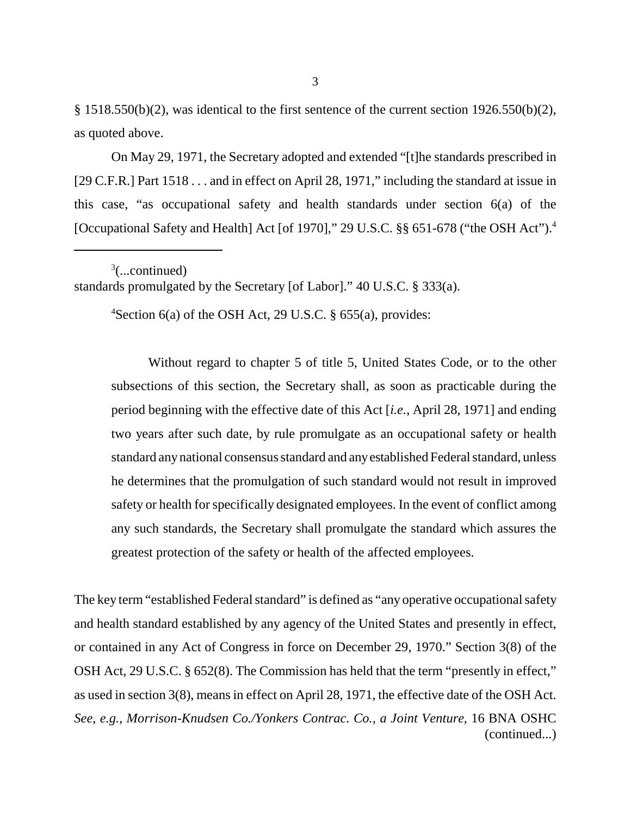$§$  1518.550(b)(2), was identical to the first sentence of the current section 1926.550(b)(2), as quoted above.

On May 29, 1971, the Secretary adopted and extended "[t]he standards prescribed in [29 C.F.R.] Part 1518 . . . and in effect on April 28, 1971," including the standard at issue in this case, "as occupational safety and health standards under section 6(a) of the [Occupational Safety and Health] Act [of 1970]," 29 U.S.C. §§ 651-678 ("the OSH Act").4

 $3$ (...continued) standards promulgated by the Secretary [of Labor]." 40 U.S.C. § 333(a).

4 Section 6(a) of the OSH Act, 29 U.S.C. § 655(a), provides:

Without regard to chapter 5 of title 5, United States Code, or to the other subsections of this section, the Secretary shall, as soon as practicable during the period beginning with the effective date of this Act [*i.e.*, April 28, 1971] and ending two years after such date, by rule promulgate as an occupational safety or health standard any national consensus standard and any established Federal standard, unless he determines that the promulgation of such standard would not result in improved safety or health for specifically designated employees. In the event of conflict among any such standards, the Secretary shall promulgate the standard which assures the greatest protection of the safety or health of the affected employees.

The key term "established Federal standard" is defined as "any operative occupational safety and health standard established by any agency of the United States and presently in effect, or contained in any Act of Congress in force on December 29, 1970." Section 3(8) of the OSH Act, 29 U.S.C. § 652(8). The Commission has held that the term "presently in effect," as used in section 3(8), means in effect on April 28, 1971, the effective date of the OSH Act. *See*, *e.g.*, *Morrison-Knudsen Co./Yonkers Contrac. Co., a Joint Venture*, 16 BNA OSHC (continued...)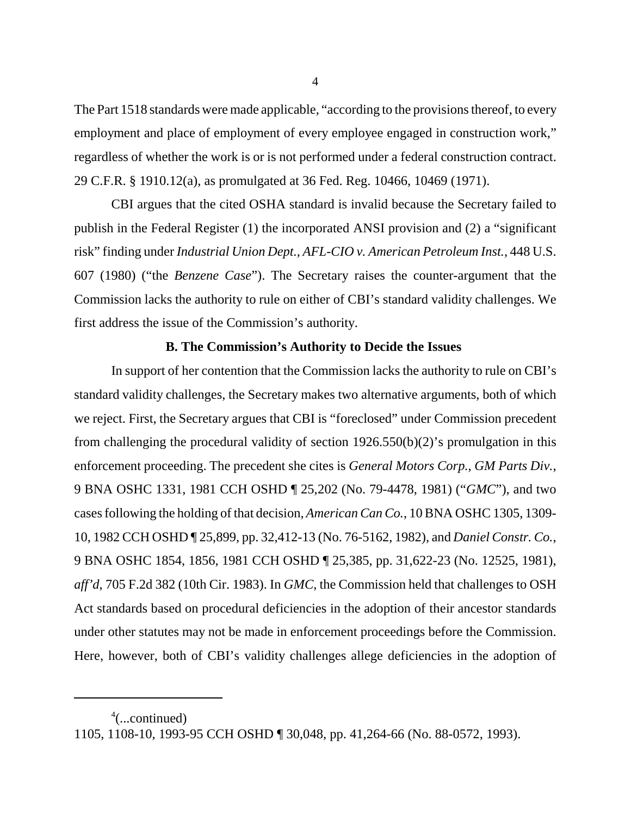The Part 1518 standards were made applicable, "according to the provisions thereof, to every employment and place of employment of every employee engaged in construction work," regardless of whether the work is or is not performed under a federal construction contract. 29 C.F.R. § 1910.12(a), as promulgated at 36 Fed. Reg. 10466, 10469 (1971).

CBI argues that the cited OSHA standard is invalid because the Secretary failed to publish in the Federal Register (1) the incorporated ANSI provision and (2) a "significant risk" finding under *Industrial Union Dept., AFL-CIO v. American Petroleum Inst.*, 448 U.S. 607 (1980) ("the *Benzene Case*"). The Secretary raises the counter-argument that the Commission lacks the authority to rule on either of CBI's standard validity challenges. We first address the issue of the Commission's authority.

### **B. The Commission's Authority to Decide the Issues**

In support of her contention that the Commission lacks the authority to rule on CBI's standard validity challenges, the Secretary makes two alternative arguments, both of which we reject. First, the Secretary argues that CBI is "foreclosed" under Commission precedent from challenging the procedural validity of section 1926.550(b)(2)'s promulgation in this enforcement proceeding. The precedent she cites is *General Motors Corp., GM Parts Div.*, 9 BNA OSHC 1331, 1981 CCH OSHD ¶ 25,202 (No. 79-4478, 1981) ("*GMC*"), and two cases following the holding of that decision, *American Can Co.*, 10 BNA OSHC 1305, 1309- 10, 1982 CCH OSHD ¶ 25,899, pp. 32,412-13 (No. 76-5162, 1982), and *Daniel Constr. Co.*, 9 BNA OSHC 1854, 1856, 1981 CCH OSHD ¶ 25,385, pp. 31,622-23 (No. 12525, 1981), *aff'd*, 705 F.2d 382 (10th Cir. 1983). In *GMC*, the Commission held that challenges to OSH Act standards based on procedural deficiencies in the adoption of their ancestor standards under other statutes may not be made in enforcement proceedings before the Commission. Here, however, both of CBI's validity challenges allege deficiencies in the adoption of

4

<sup>4</sup> (...continued)

<sup>1105, 1108-10, 1993-95</sup> CCH OSHD ¶ 30,048, pp. 41,264-66 (No. 88-0572, 1993).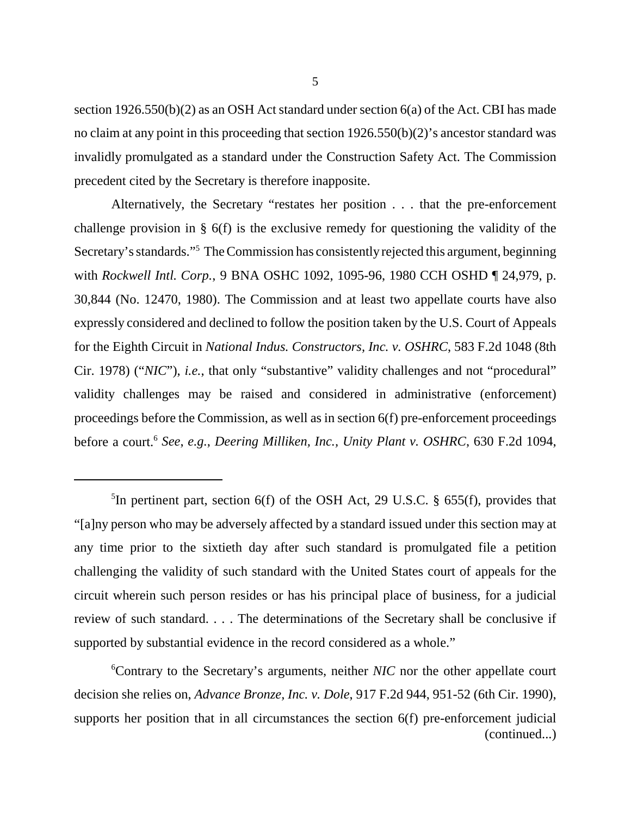section 1926.550(b)(2) as an OSH Act standard under section 6(a) of the Act. CBI has made no claim at any point in this proceeding that section 1926.550(b)(2)'s ancestor standard was invalidly promulgated as a standard under the Construction Safety Act. The Commission precedent cited by the Secretary is therefore inapposite.

Alternatively, the Secretary "restates her position . . . that the pre-enforcement challenge provision in § 6(f) is the exclusive remedy for questioning the validity of the Secretary's standards."5 The Commission has consistently rejected this argument, beginning with *Rockwell Intl. Corp.*, 9 BNA OSHC 1092, 1095-96, 1980 CCH OSHD ¶ 24,979, p. 30,844 (No. 12470, 1980). The Commission and at least two appellate courts have also expressly considered and declined to follow the position taken by the U.S. Court of Appeals for the Eighth Circuit in *National Indus. Constructors, Inc. v. OSHRC*, 583 F.2d 1048 (8th Cir. 1978) ("*NIC*"), *i.e.*, that only "substantive" validity challenges and not "procedural" validity challenges may be raised and considered in administrative (enforcement) proceedings before the Commission, as well as in section 6(f) pre-enforcement proceedings before a court.6 *See*, *e.g.*, *Deering Milliken, Inc., Unity Plant v. OSHRC*, 630 F.2d 1094,

6 Contrary to the Secretary's arguments, neither *NIC* nor the other appellate court decision she relies on, *Advance Bronze, Inc. v. Dole*, 917 F.2d 944, 951-52 (6th Cir. 1990), supports her position that in all circumstances the section 6(f) pre-enforcement judicial (continued...)

<sup>5</sup> In pertinent part, section 6(f) of the OSH Act, 29 U.S.C. § 655(f), provides that "[a]ny person who may be adversely affected by a standard issued under this section may at any time prior to the sixtieth day after such standard is promulgated file a petition challenging the validity of such standard with the United States court of appeals for the circuit wherein such person resides or has his principal place of business, for a judicial review of such standard. . . . The determinations of the Secretary shall be conclusive if supported by substantial evidence in the record considered as a whole."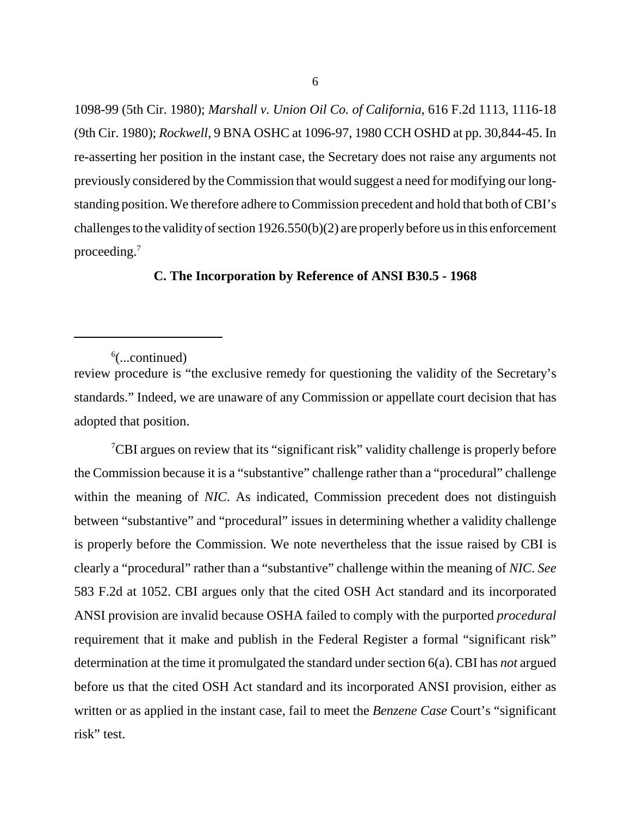1098-99 (5th Cir. 1980); *Marshall v. Union Oil Co. of California*, 616 F.2d 1113, 1116-18 (9th Cir. 1980); *Rockwell*, 9 BNA OSHC at 1096-97, 1980 CCH OSHD at pp. 30,844-45. In re-asserting her position in the instant case, the Secretary does not raise any arguments not previously considered by the Commission that would suggest a need for modifying our longstanding position. We therefore adhere to Commission precedent and hold that both of CBI's challenges to the validity of section 1926.550(b)(2) are properly before us in this enforcement proceeding.7

## **C. The Incorporation by Reference of ANSI B30.5 - 1968**

<sup>7</sup>CBI argues on review that its "significant risk" validity challenge is properly before the Commission because it is a "substantive" challenge rather than a "procedural" challenge within the meaning of *NIC*. As indicated, Commission precedent does not distinguish between "substantive" and "procedural" issues in determining whether a validity challenge is properly before the Commission. We note nevertheless that the issue raised by CBI is clearly a "procedural" rather than a "substantive" challenge within the meaning of *NIC*. *See*  583 F.2d at 1052. CBI argues only that the cited OSH Act standard and its incorporated ANSI provision are invalid because OSHA failed to comply with the purported *procedural*  requirement that it make and publish in the Federal Register a formal "significant risk" determination at the time it promulgated the standard under section 6(a). CBI has *not* argued before us that the cited OSH Act standard and its incorporated ANSI provision, either as written or as applied in the instant case, fail to meet the *Benzene Case* Court's "significant risk" test.

 $6$ (...continued)

review procedure is "the exclusive remedy for questioning the validity of the Secretary's standards." Indeed, we are unaware of any Commission or appellate court decision that has adopted that position.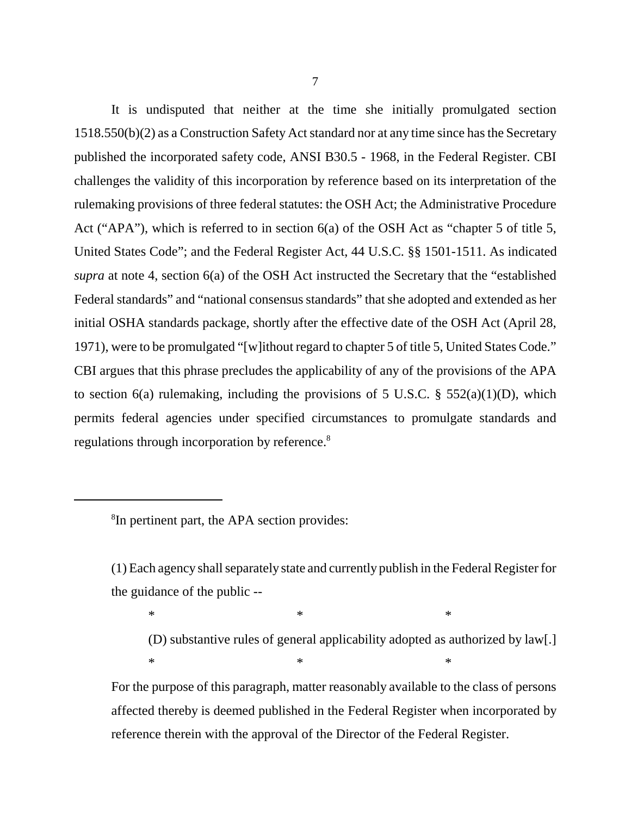It is undisputed that neither at the time she initially promulgated section 1518.550(b)(2) as a Construction Safety Act standard nor at any time since has the Secretary published the incorporated safety code, ANSI B30.5 - 1968, in the Federal Register. CBI challenges the validity of this incorporation by reference based on its interpretation of the rulemaking provisions of three federal statutes: the OSH Act; the Administrative Procedure Act ("APA"), which is referred to in section 6(a) of the OSH Act as "chapter 5 of title 5, United States Code"; and the Federal Register Act, 44 U.S.C. §§ 1501-1511. As indicated *supra* at note 4, section 6(a) of the OSH Act instructed the Secretary that the "established Federal standards" and "national consensus standards" that she adopted and extended as her initial OSHA standards package, shortly after the effective date of the OSH Act (April 28, 1971), were to be promulgated "[w]ithout regard to chapter 5 of title 5, United States Code." CBI argues that this phrase precludes the applicability of any of the provisions of the APA to section 6(a) rulemaking, including the provisions of 5 U.S.C.  $\S$  552(a)(1)(D), which permits federal agencies under specified circumstances to promulgate standards and regulations through incorporation by reference.<sup>8</sup>

<sup>8</sup>In pertinent part, the APA section provides:

(1) Each agency shall separately state and currently publish in the Federal Register for the guidance of the public --

 $*$   $*$ 

(D) substantive rules of general applicability adopted as authorized by law[.]  $*$   $*$ 

For the purpose of this paragraph, matter reasonably available to the class of persons affected thereby is deemed published in the Federal Register when incorporated by reference therein with the approval of the Director of the Federal Register.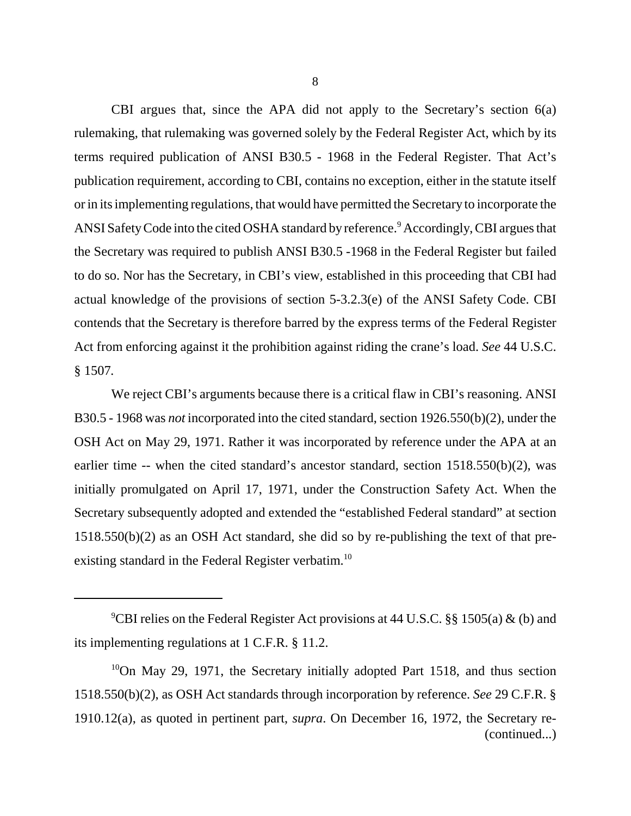CBI argues that, since the APA did not apply to the Secretary's section 6(a) rulemaking, that rulemaking was governed solely by the Federal Register Act, which by its terms required publication of ANSI B30.5 - 1968 in the Federal Register. That Act's publication requirement, according to CBI, contains no exception, either in the statute itself or in its implementing regulations, that would have permitted the Secretary to incorporate the ANSI Safety Code into the cited OSHA standard by reference.<sup>9</sup> Accordingly, CBI argues that the Secretary was required to publish ANSI B30.5 -1968 in the Federal Register but failed to do so. Nor has the Secretary, in CBI's view, established in this proceeding that CBI had actual knowledge of the provisions of section 5-3.2.3(e) of the ANSI Safety Code. CBI contends that the Secretary is therefore barred by the express terms of the Federal Register Act from enforcing against it the prohibition against riding the crane's load. *See* 44 U.S.C. § 1507*.* 

We reject CBI's arguments because there is a critical flaw in CBI's reasoning. ANSI B30.5 - 1968 was *not* incorporated into the cited standard, section 1926.550(b)(2), under the OSH Act on May 29, 1971. Rather it was incorporated by reference under the APA at an earlier time -- when the cited standard's ancestor standard, section 1518.550(b)(2), was initially promulgated on April 17, 1971, under the Construction Safety Act. When the Secretary subsequently adopted and extended the "established Federal standard" at section 1518.550(b)(2) as an OSH Act standard, she did so by re-publishing the text of that preexisting standard in the Federal Register verbatim.<sup>10</sup>

<sup>&</sup>lt;sup>9</sup>CBI relies on the Federal Register Act provisions at 44 U.S.C. §§ 1505(a) & (b) and its implementing regulations at 1 C.F.R. § 11.2.

 $10$ On May 29, 1971, the Secretary initially adopted Part 1518, and thus section 1518.550(b)(2), as OSH Act standards through incorporation by reference. *See* 29 C.F.R. § 1910.12(a), as quoted in pertinent part, *supra*. On December 16, 1972, the Secretary re (continued...)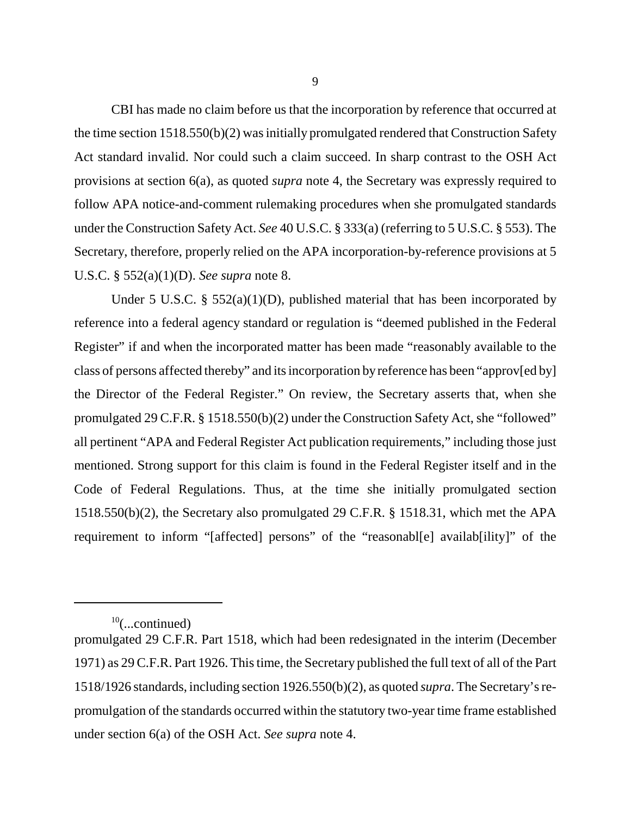CBI has made no claim before us that the incorporation by reference that occurred at the time section 1518.550(b)(2) was initially promulgated rendered that Construction Safety Act standard invalid. Nor could such a claim succeed. In sharp contrast to the OSH Act provisions at section 6(a), as quoted *supra* note 4, the Secretary was expressly required to follow APA notice-and-comment rulemaking procedures when she promulgated standards under the Construction Safety Act. *See* 40 U.S.C. § 333(a) (referring to 5 U.S.C. § 553). The Secretary, therefore, properly relied on the APA incorporation-by-reference provisions at 5 U.S.C. § 552(a)(1)(D). *See supra* note 8.

Under 5 U.S.C. §  $552(a)(1)(D)$ , published material that has been incorporated by reference into a federal agency standard or regulation is "deemed published in the Federal Register" if and when the incorporated matter has been made "reasonably available to the class of persons affected thereby" and its incorporation by reference has been "approv[ed by] the Director of the Federal Register." On review, the Secretary asserts that, when she promulgated 29 C.F.R. § 1518.550(b)(2) under the Construction Safety Act, she "followed" all pertinent "APA and Federal Register Act publication requirements," including those just mentioned. Strong support for this claim is found in the Federal Register itself and in the Code of Federal Regulations. Thus, at the time she initially promulgated section 1518.550(b)(2), the Secretary also promulgated 29 C.F.R. § 1518.31, which met the APA requirement to inform "[affected] persons" of the "reasonabl[e] availab[ility]" of the

 $10$ (...continued)

promulgated 29 C.F.R. Part 1518, which had been redesignated in the interim (December 1971) as 29 C.F.R. Part 1926. This time, the Secretary published the full text of all of the Part 1518/1926 standards, including section 1926.550(b)(2), as quoted *supra*. The Secretary's repromulgation of the standards occurred within the statutory two-year time frame established under section 6(a) of the OSH Act. *See supra* note 4.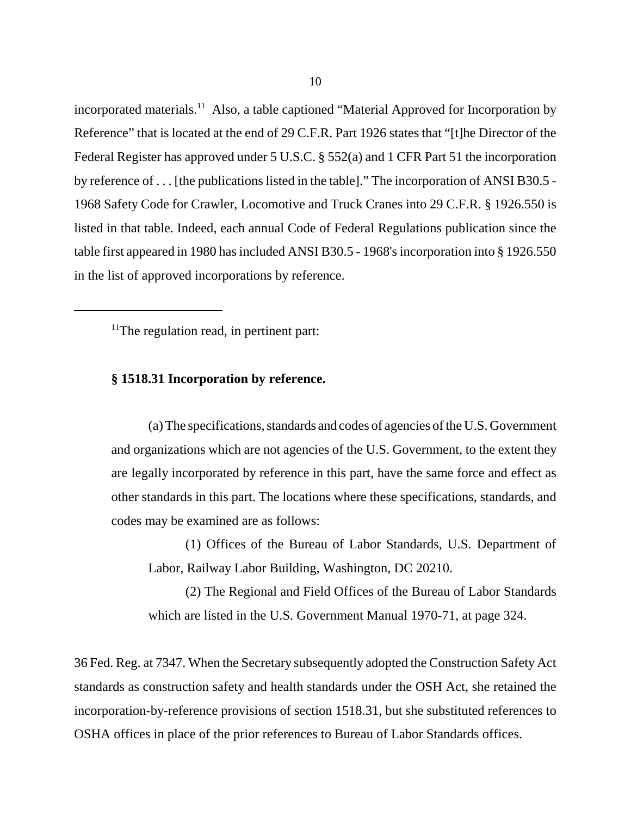incorporated materials.<sup>11</sup> Also, a table captioned "Material Approved for Incorporation by Reference" that is located at the end of 29 C.F.R. Part 1926 states that "[t]he Director of the Federal Register has approved under 5 U.S.C. § 552(a) and 1 CFR Part 51 the incorporation by reference of . . . [the publications listed in the table]." The incorporation of ANSI B30.5 - 1968 Safety Code for Crawler, Locomotive and Truck Cranes into 29 C.F.R. § 1926.550 is listed in that table. Indeed, each annual Code of Federal Regulations publication since the table first appeared in 1980 has included ANSI B30.5 - 1968's incorporation into § 1926.550 in the list of approved incorporations by reference.

 $<sup>11</sup>$ The regulation read, in pertinent part:</sup>

## **§ 1518.31 Incorporation by reference.**

(a) The specifications, standards and codes of agencies of the U.S. Government and organizations which are not agencies of the U.S. Government, to the extent they are legally incorporated by reference in this part, have the same force and effect as other standards in this part. The locations where these specifications, standards, and codes may be examined are as follows:

(1) Offices of the Bureau of Labor Standards, U.S. Department of Labor, Railway Labor Building, Washington, DC 20210.

(2) The Regional and Field Offices of the Bureau of Labor Standards which are listed in the U.S. Government Manual 1970-71, at page 324.

36 Fed. Reg. at 7347. When the Secretary subsequently adopted the Construction Safety Act standards as construction safety and health standards under the OSH Act, she retained the incorporation-by-reference provisions of section 1518.31, but she substituted references to OSHA offices in place of the prior references to Bureau of Labor Standards offices.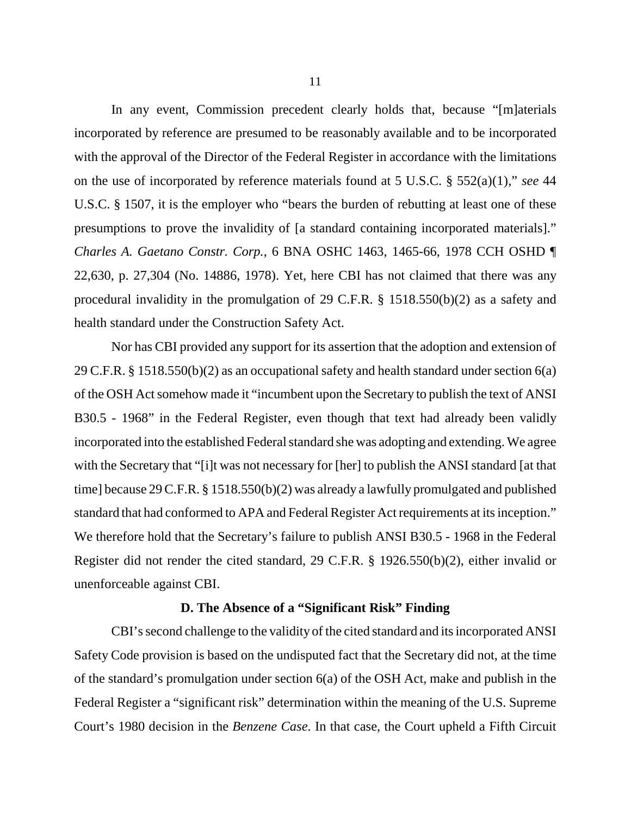In any event, Commission precedent clearly holds that, because "[m]aterials incorporated by reference are presumed to be reasonably available and to be incorporated with the approval of the Director of the Federal Register in accordance with the limitations on the use of incorporated by reference materials found at 5 U.S.C. § 552(a)(1)," *see* 44 U.S.C. § 1507, it is the employer who "bears the burden of rebutting at least one of these presumptions to prove the invalidity of [a standard containing incorporated materials]." *Charles A. Gaetano Constr. Corp.*, 6 BNA OSHC 1463, 1465-66, 1978 CCH OSHD ¶ 22,630, p. 27,304 (No. 14886, 1978). Yet, here CBI has not claimed that there was any procedural invalidity in the promulgation of 29 C.F.R. § 1518.550(b)(2) as a safety and health standard under the Construction Safety Act.

Nor has CBI provided any support for its assertion that the adoption and extension of 29 C.F.R. § 1518.550(b)(2) as an occupational safety and health standard under section 6(a) of the OSH Act somehow made it "incumbent upon the Secretary to publish the text of ANSI B30.5 - 1968" in the Federal Register, even though that text had already been validly incorporated into the established Federal standard she was adopting and extending. We agree with the Secretary that "[i]t was not necessary for [her] to publish the ANSI standard [at that time] because 29 C.F.R. § 1518.550(b)(2) was already a lawfully promulgated and published standard that had conformed to APA and Federal Register Act requirements at its inception." We therefore hold that the Secretary's failure to publish ANSI B30.5 - 1968 in the Federal Register did not render the cited standard, 29 C.F.R. § 1926.550(b)(2), either invalid or unenforceable against CBI.

## **D. The Absence of a "Significant Risk" Finding**

CBI's second challenge to the validity of the cited standard and its incorporated ANSI Safety Code provision is based on the undisputed fact that the Secretary did not, at the time of the standard's promulgation under section 6(a) of the OSH Act, make and publish in the Federal Register a "significant risk" determination within the meaning of the U.S. Supreme Court's 1980 decision in the *Benzene Case*. In that case, the Court upheld a Fifth Circuit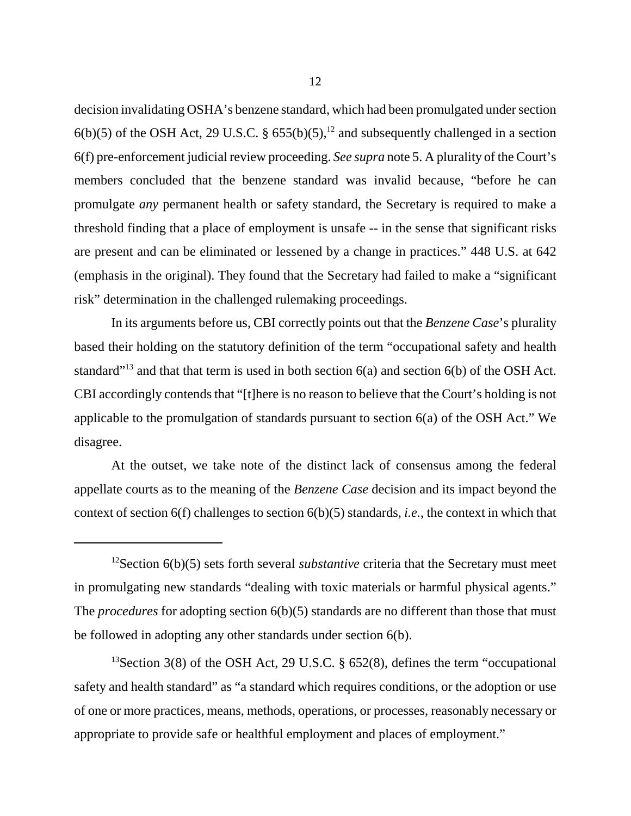decision invalidating OSHA's benzene standard, which had been promulgated under section  $6(b)(5)$  of the OSH Act, 29 U.S.C. § 655(b)(5),<sup>12</sup> and subsequently challenged in a section 6(f) pre-enforcement judicial review proceeding. *See supra* note 5. A plurality of the Court's members concluded that the benzene standard was invalid because, "before he can promulgate *any* permanent health or safety standard, the Secretary is required to make a threshold finding that a place of employment is unsafe -- in the sense that significant risks are present and can be eliminated or lessened by a change in practices." 448 U.S. at 642 (emphasis in the original). They found that the Secretary had failed to make a "significant risk" determination in the challenged rulemaking proceedings.

In its arguments before us, CBI correctly points out that the *Benzene Case*'s plurality based their holding on the statutory definition of the term "occupational safety and health standard<sup>"13</sup> and that that term is used in both section  $6(a)$  and section  $6(b)$  of the OSH Act. CBI accordingly contends that "[t]here is no reason to believe that the Court's holding is not applicable to the promulgation of standards pursuant to section 6(a) of the OSH Act." We disagree.

At the outset, we take note of the distinct lack of consensus among the federal appellate courts as to the meaning of the *Benzene Case* decision and its impact beyond the context of section 6(f) challenges to section 6(b)(5) standards, *i.e.*, the context in which that

<sup>&</sup>lt;sup>12</sup>Section 6(b)(5) sets forth several *substantive* criteria that the Secretary must meet in promulgating new standards "dealing with toxic materials or harmful physical agents." The *procedures* for adopting section 6(b)(5) standards are no different than those that must be followed in adopting any other standards under section 6(b).

<sup>&</sup>lt;sup>13</sup>Section 3(8) of the OSH Act, 29 U.S.C.  $\S$  652(8), defines the term "occupational safety and health standard" as "a standard which requires conditions, or the adoption or use of one or more practices, means, methods, operations, or processes, reasonably necessary or appropriate to provide safe or healthful employment and places of employment."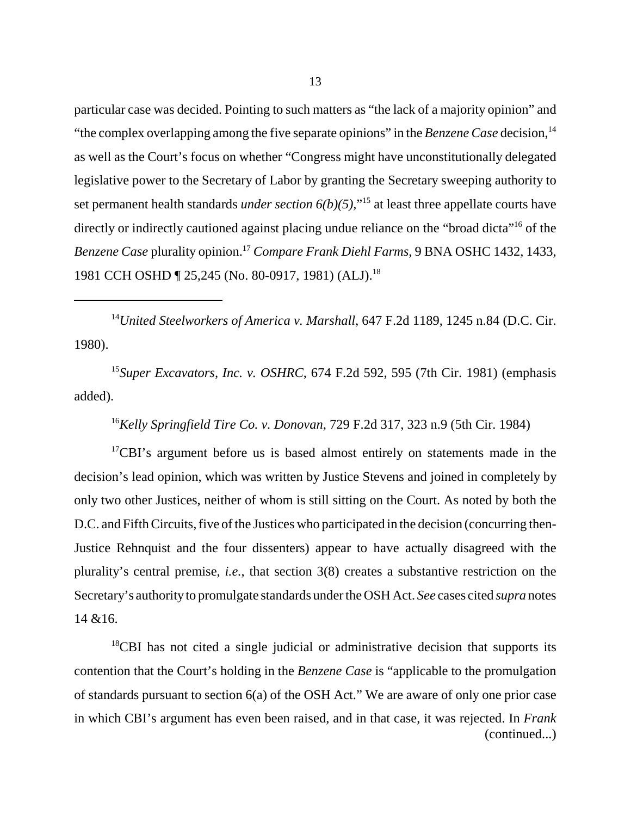particular case was decided. Pointing to such matters as "the lack of a majority opinion" and "the complex overlapping among the five separate opinions" in the *Benzene Case* decision,<sup>14</sup> as well as the Court's focus on whether "Congress might have unconstitutionally delegated legislative power to the Secretary of Labor by granting the Secretary sweeping authority to set permanent health standards *under section*  $6(b)(5)$ ,"<sup>15</sup> at least three appellate courts have directly or indirectly cautioned against placing undue reliance on the "broad dicta"<sup>16</sup> of the *Benzene Case* plurality opinion.17 *Compare Frank Diehl Farms*, 9 BNA OSHC 1432, 1433, 1981 CCH OSHD ¶ 25,245 (No. 80-0917, 1981) (ALJ).<sup>18</sup>

<sup>14</sup>United Steelworkers of America v. Marshall, 647 F.2d 1189, 1245 n.84 (D.C. Cir. 1980).

<sup>15</sup>*Super Excavators, Inc. v. OSHRC*, 674 F.2d 592, 595 (7th Cir. 1981) (emphasis added).

<sup>16</sup>*Kelly Springfield Tire Co. v. Donovan*, 729 F.2d 317, 323 n.9 (5th Cir. 1984)

<sup>17</sup>CBI's argument before us is based almost entirely on statements made in the decision's lead opinion, which was written by Justice Stevens and joined in completely by only two other Justices, neither of whom is still sitting on the Court. As noted by both the D.C. and Fifth Circuits, five of the Justices who participated in the decision (concurring then-Justice Rehnquist and the four dissenters) appear to have actually disagreed with the plurality's central premise, *i.e.*, that section 3(8) creates a substantive restriction on the Secretary's authority to promulgate standards under the OSH Act. *See* cases cited *supra* notes 14 &16.

<sup>18</sup>CBI has not cited a single judicial or administrative decision that supports its contention that the Court's holding in the *Benzene Case* is "applicable to the promulgation of standards pursuant to section 6(a) of the OSH Act." We are aware of only one prior case in which CBI's argument has even been raised, and in that case, it was rejected. In *Frank*  (continued...)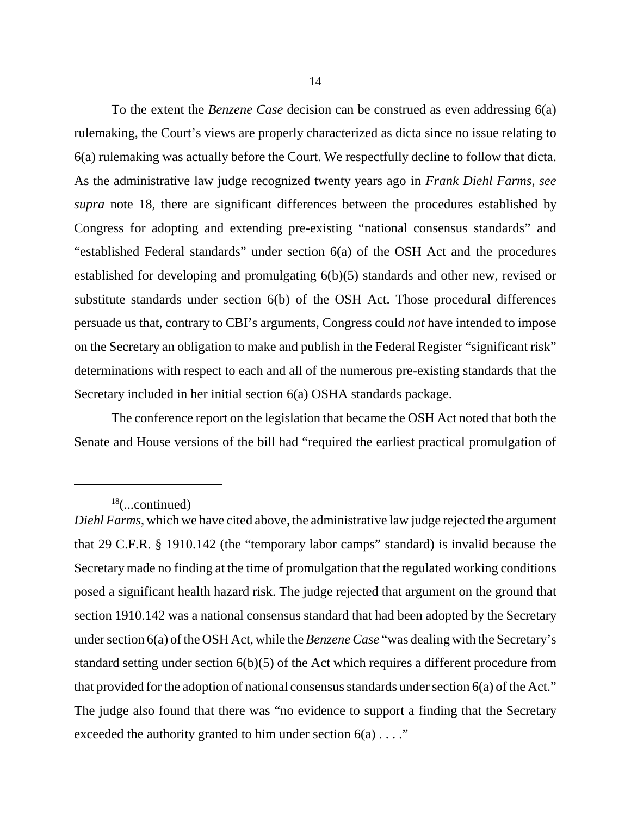To the extent the *Benzene Case* decision can be construed as even addressing 6(a) rulemaking, the Court's views are properly characterized as dicta since no issue relating to 6(a) rulemaking was actually before the Court. We respectfully decline to follow that dicta. As the administrative law judge recognized twenty years ago in *Frank Diehl Farms*, *see supra* note 18, there are significant differences between the procedures established by Congress for adopting and extending pre-existing "national consensus standards" and "established Federal standards" under section 6(a) of the OSH Act and the procedures established for developing and promulgating 6(b)(5) standards and other new, revised or substitute standards under section 6(b) of the OSH Act. Those procedural differences persuade us that, contrary to CBI's arguments, Congress could *not* have intended to impose on the Secretary an obligation to make and publish in the Federal Register "significant risk" determinations with respect to each and all of the numerous pre-existing standards that the Secretary included in her initial section 6(a) OSHA standards package.

The conference report on the legislation that became the OSH Act noted that both the Senate and House versions of the bill had "required the earliest practical promulgation of

 $18$ (...continued)

*Diehl Farms*, which we have cited above, the administrative law judge rejected the argument that 29 C.F.R. § 1910.142 (the "temporary labor camps" standard) is invalid because the Secretary made no finding at the time of promulgation that the regulated working conditions posed a significant health hazard risk. The judge rejected that argument on the ground that section 1910.142 was a national consensus standard that had been adopted by the Secretary under section 6(a) of the OSH Act, while the *Benzene Case* "was dealing with the Secretary's standard setting under section 6(b)(5) of the Act which requires a different procedure from that provided for the adoption of national consensus standards under section 6(a) of the Act." The judge also found that there was "no evidence to support a finding that the Secretary exceeded the authority granted to him under section  $6(a) \ldots$ ."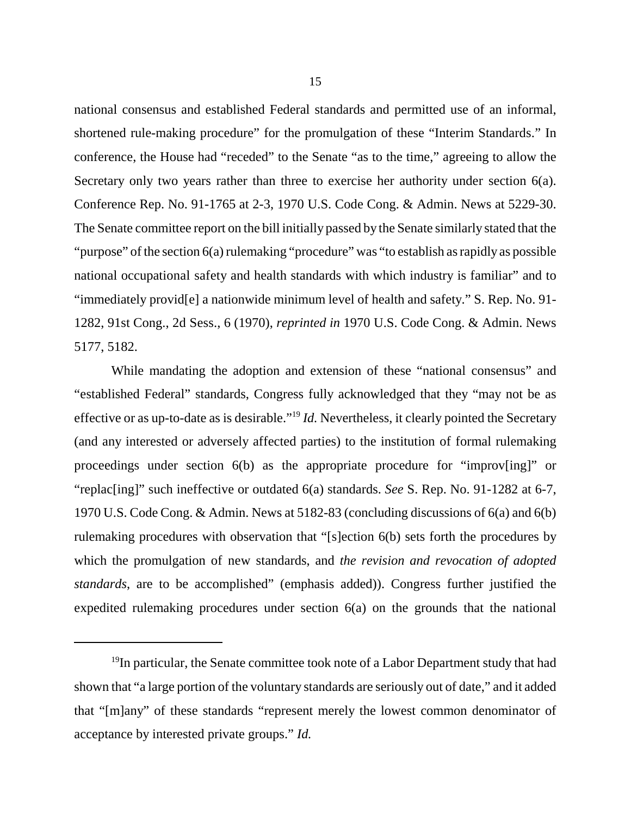national consensus and established Federal standards and permitted use of an informal, shortened rule-making procedure" for the promulgation of these "Interim Standards." In conference, the House had "receded" to the Senate "as to the time," agreeing to allow the Secretary only two years rather than three to exercise her authority under section 6(a). Conference Rep. No. 91-1765 at 2-3, 1970 U.S. Code Cong. & Admin. News at 5229-30. The Senate committee report on the bill initially passed by the Senate similarly stated that the "purpose" of the section 6(a) rulemaking "procedure" was "to establish as rapidly as possible national occupational safety and health standards with which industry is familiar" and to "immediately provid[e] a nationwide minimum level of health and safety." S. Rep. No. 91- 1282, 91st Cong., 2d Sess., 6 (1970), *reprinted in* 1970 U.S. Code Cong. & Admin. News 5177, 5182.

While mandating the adoption and extension of these "national consensus" and "established Federal" standards, Congress fully acknowledged that they "may not be as effective or as up-to-date as is desirable."19 *Id.* Nevertheless, it clearly pointed the Secretary (and any interested or adversely affected parties) to the institution of formal rulemaking proceedings under section 6(b) as the appropriate procedure for "improv[ing]" or "replac[ing]" such ineffective or outdated 6(a) standards. *See* S. Rep. No. 91-1282 at 6-7, 1970 U.S. Code Cong. & Admin. News at 5182-83 (concluding discussions of 6(a) and 6(b) rulemaking procedures with observation that "[s]ection 6(b) sets forth the procedures by which the promulgation of new standards, and *the revision and revocation of adopted standards*, are to be accomplished" (emphasis added)). Congress further justified the expedited rulemaking procedures under section 6(a) on the grounds that the national

<sup>&</sup>lt;sup>19</sup>In particular, the Senate committee took note of a Labor Department study that had shown that "a large portion of the voluntary standards are seriously out of date," and it added that "[m]any" of these standards "represent merely the lowest common denominator of acceptance by interested private groups." *Id.*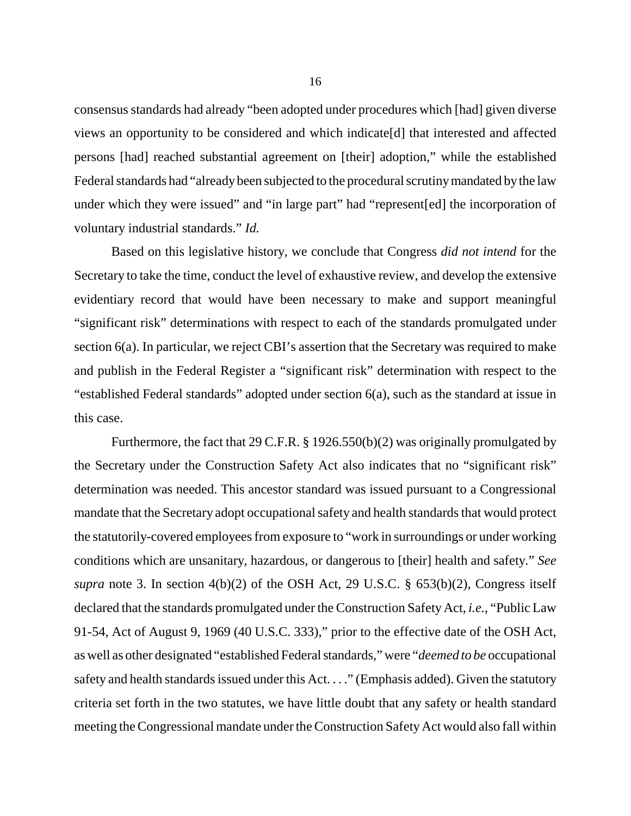consensus standards had already "been adopted under procedures which [had] given diverse views an opportunity to be considered and which indicate[d] that interested and affected persons [had] reached substantial agreement on [their] adoption," while the established Federal standards had "already been subjected to the procedural scrutiny mandated by the law under which they were issued" and "in large part" had "represent[ed] the incorporation of voluntary industrial standards." *Id.* 

Based on this legislative history, we conclude that Congress *did not intend* for the Secretary to take the time, conduct the level of exhaustive review, and develop the extensive evidentiary record that would have been necessary to make and support meaningful "significant risk" determinations with respect to each of the standards promulgated under section 6(a). In particular, we reject CBI's assertion that the Secretary was required to make and publish in the Federal Register a "significant risk" determination with respect to the "established Federal standards" adopted under section 6(a), such as the standard at issue in this case.

Furthermore, the fact that 29 C.F.R. § 1926.550(b)(2) was originally promulgated by the Secretary under the Construction Safety Act also indicates that no "significant risk" determination was needed. This ancestor standard was issued pursuant to a Congressional mandate that the Secretary adopt occupational safety and health standards that would protect the statutorily-covered employees from exposure to "work in surroundings or under working conditions which are unsanitary, hazardous, or dangerous to [their] health and safety." *See supra* note 3. In section 4(b)(2) of the OSH Act, 29 U.S.C. § 653(b)(2), Congress itself declared that the standards promulgated under the Construction Safety Act, *i.e.*, "Public Law 91-54, Act of August 9, 1969 (40 U.S.C. 333)," prior to the effective date of the OSH Act, as well as other designated "established Federal standards," were "*deemed to be* occupational safety and health standards issued under this Act. . . ." (Emphasis added). Given the statutory criteria set forth in the two statutes, we have little doubt that any safety or health standard meeting the Congressional mandate under the Construction Safety Act would also fall within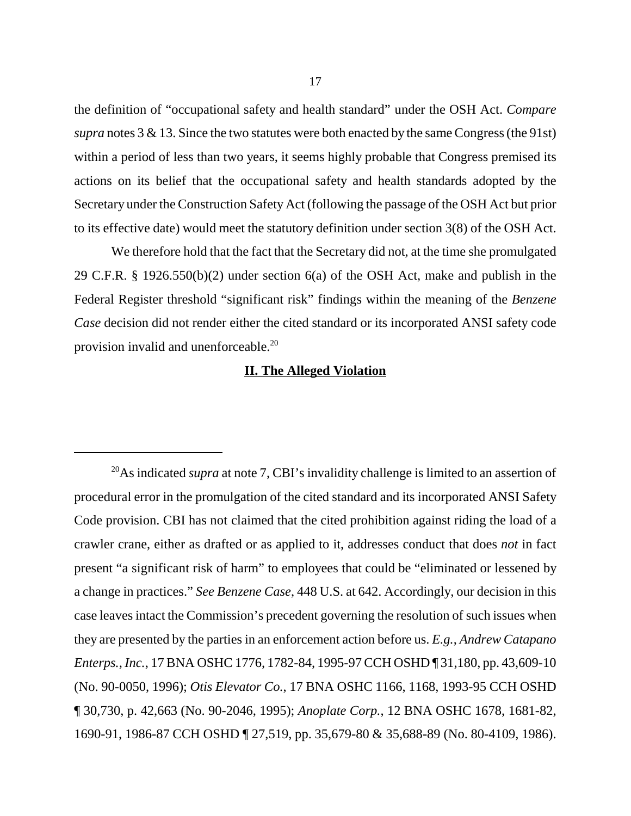the definition of "occupational safety and health standard" under the OSH Act. *Compare supra* notes 3 & 13. Since the two statutes were both enacted by the same Congress (the 91st) within a period of less than two years, it seems highly probable that Congress premised its actions on its belief that the occupational safety and health standards adopted by the Secretary under the Construction Safety Act (following the passage of the OSH Act but prior to its effective date) would meet the statutory definition under section 3(8) of the OSH Act.

We therefore hold that the fact that the Secretary did not, at the time she promulgated 29 C.F.R. § 1926.550(b)(2) under section 6(a) of the OSH Act, make and publish in the Federal Register threshold "significant risk" findings within the meaning of the *Benzene Case* decision did not render either the cited standard or its incorporated ANSI safety code provision invalid and unenforceable.<sup>20</sup>

### **II. The Alleged Violation**

<sup>20</sup>As indicated *supra* at note 7, CBI's invalidity challenge is limited to an assertion of procedural error in the promulgation of the cited standard and its incorporated ANSI Safety Code provision. CBI has not claimed that the cited prohibition against riding the load of a crawler crane, either as drafted or as applied to it, addresses conduct that does *not* in fact present "a significant risk of harm" to employees that could be "eliminated or lessened by a change in practices." *See Benzene Case*, 448 U.S. at 642. Accordingly, our decision in this case leaves intact the Commission's precedent governing the resolution of such issues when they are presented by the parties in an enforcement action before us. *E.g.*, *Andrew Catapano Enterps., Inc.*, 17 BNA OSHC 1776, 1782-84, 1995-97 CCH OSHD ¶ 31,180, pp. 43,609-10 (No. 90-0050, 1996); *Otis Elevator Co.*, 17 BNA OSHC 1166, 1168, 1993-95 CCH OSHD ¶ 30,730, p. 42,663 (No. 90-2046, 1995); *Anoplate Corp.*, 12 BNA OSHC 1678, 1681-82, 1690-91, 1986-87 CCH OSHD ¶ 27,519, pp. 35,679-80 & 35,688-89 (No. 80-4109, 1986).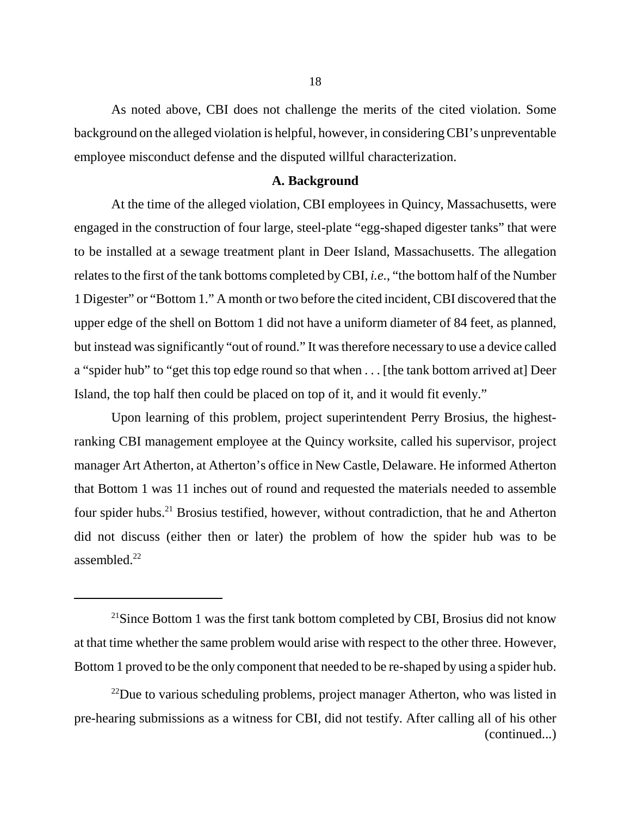As noted above, CBI does not challenge the merits of the cited violation. Some background on the alleged violation is helpful, however, in considering CBI's unpreventable employee misconduct defense and the disputed willful characterization.

### **A. Background**

At the time of the alleged violation, CBI employees in Quincy, Massachusetts, were engaged in the construction of four large, steel-plate "egg-shaped digester tanks" that were to be installed at a sewage treatment plant in Deer Island, Massachusetts. The allegation relates to the first of the tank bottoms completed by CBI, *i.e.*, "the bottom half of the Number 1 Digester" or "Bottom 1." A month or two before the cited incident, CBI discovered that the upper edge of the shell on Bottom 1 did not have a uniform diameter of 84 feet, as planned, but instead was significantly "out of round." It was therefore necessary to use a device called a "spider hub" to "get this top edge round so that when . . . [the tank bottom arrived at] Deer Island, the top half then could be placed on top of it, and it would fit evenly."

Upon learning of this problem, project superintendent Perry Brosius, the highestranking CBI management employee at the Quincy worksite, called his supervisor, project manager Art Atherton, at Atherton's office in New Castle, Delaware. He informed Atherton that Bottom 1 was 11 inches out of round and requested the materials needed to assemble four spider hubs.<sup>21</sup> Brosius testified, however, without contradiction, that he and Atherton did not discuss (either then or later) the problem of how the spider hub was to be assembled.<sup>22</sup>

 $21$ Since Bottom 1 was the first tank bottom completed by CBI, Brosius did not know at that time whether the same problem would arise with respect to the other three. However, Bottom 1 proved to be the only component that needed to be re-shaped by using a spider hub.

 $^{22}$ Due to various scheduling problems, project manager Atherton, who was listed in pre-hearing submissions as a witness for CBI, did not testify. After calling all of his other (continued...)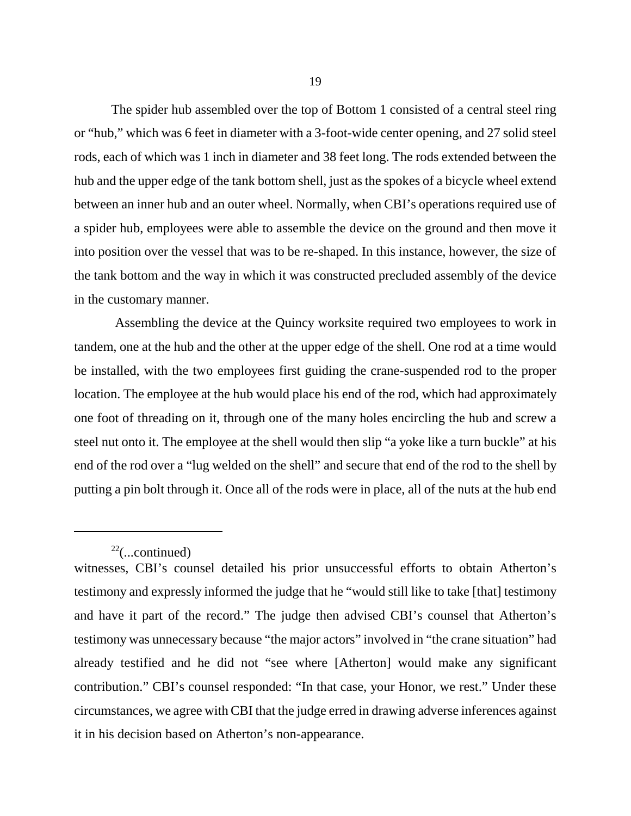The spider hub assembled over the top of Bottom 1 consisted of a central steel ring or "hub," which was 6 feet in diameter with a 3-foot-wide center opening, and 27 solid steel rods, each of which was 1 inch in diameter and 38 feet long. The rods extended between the hub and the upper edge of the tank bottom shell, just as the spokes of a bicycle wheel extend between an inner hub and an outer wheel. Normally, when CBI's operations required use of a spider hub, employees were able to assemble the device on the ground and then move it into position over the vessel that was to be re-shaped. In this instance, however, the size of the tank bottom and the way in which it was constructed precluded assembly of the device in the customary manner.

Assembling the device at the Quincy worksite required two employees to work in tandem, one at the hub and the other at the upper edge of the shell. One rod at a time would be installed, with the two employees first guiding the crane-suspended rod to the proper location. The employee at the hub would place his end of the rod, which had approximately one foot of threading on it, through one of the many holes encircling the hub and screw a steel nut onto it. The employee at the shell would then slip "a yoke like a turn buckle" at his end of the rod over a "lug welded on the shell" and secure that end of the rod to the shell by putting a pin bolt through it. Once all of the rods were in place, all of the nuts at the hub end

 $22$ (...continued)

witnesses, CBI's counsel detailed his prior unsuccessful efforts to obtain Atherton's testimony and expressly informed the judge that he "would still like to take [that] testimony and have it part of the record." The judge then advised CBI's counsel that Atherton's testimony was unnecessary because "the major actors" involved in "the crane situation" had already testified and he did not "see where [Atherton] would make any significant contribution." CBI's counsel responded: "In that case, your Honor, we rest." Under these circumstances, we agree with CBI that the judge erred in drawing adverse inferences against it in his decision based on Atherton's non-appearance.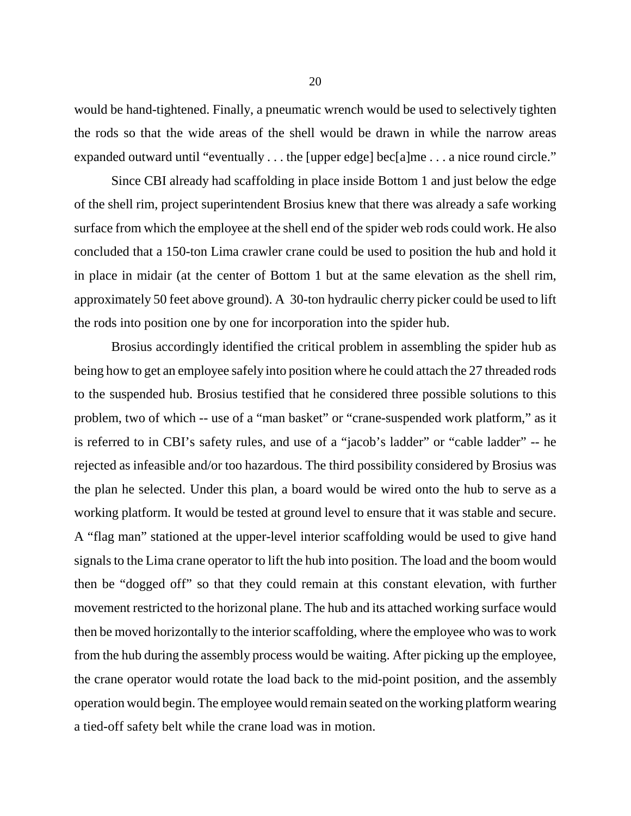would be hand-tightened. Finally, a pneumatic wrench would be used to selectively tighten the rods so that the wide areas of the shell would be drawn in while the narrow areas expanded outward until "eventually . . . the [upper edge] bec[a]me . . . a nice round circle."

Since CBI already had scaffolding in place inside Bottom 1 and just below the edge of the shell rim, project superintendent Brosius knew that there was already a safe working surface from which the employee at the shell end of the spider web rods could work. He also concluded that a 150-ton Lima crawler crane could be used to position the hub and hold it in place in midair (at the center of Bottom 1 but at the same elevation as the shell rim, approximately 50 feet above ground). A 30-ton hydraulic cherry picker could be used to lift the rods into position one by one for incorporation into the spider hub.

Brosius accordingly identified the critical problem in assembling the spider hub as being how to get an employee safely into position where he could attach the 27 threaded rods to the suspended hub. Brosius testified that he considered three possible solutions to this problem, two of which -- use of a "man basket" or "crane-suspended work platform," as it is referred to in CBI's safety rules, and use of a "jacob's ladder" or "cable ladder" -- he rejected as infeasible and/or too hazardous. The third possibility considered by Brosius was the plan he selected. Under this plan, a board would be wired onto the hub to serve as a working platform. It would be tested at ground level to ensure that it was stable and secure. A "flag man" stationed at the upper-level interior scaffolding would be used to give hand signals to the Lima crane operator to lift the hub into position. The load and the boom would then be "dogged off" so that they could remain at this constant elevation, with further movement restricted to the horizonal plane. The hub and its attached working surface would then be moved horizontally to the interior scaffolding, where the employee who was to work from the hub during the assembly process would be waiting. After picking up the employee, the crane operator would rotate the load back to the mid-point position, and the assembly operation would begin. The employee would remain seated on the working platformwearing a tied-off safety belt while the crane load was in motion.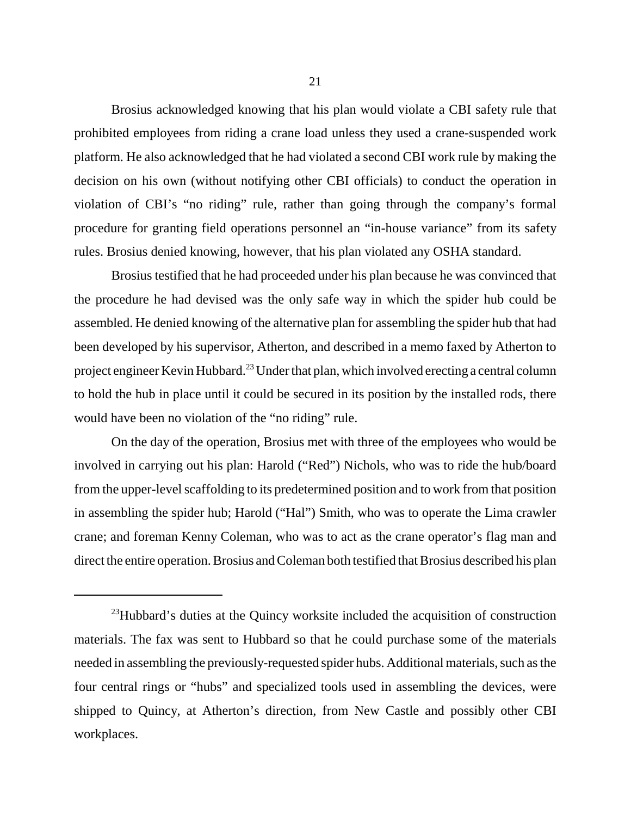Brosius acknowledged knowing that his plan would violate a CBI safety rule that prohibited employees from riding a crane load unless they used a crane-suspended work platform. He also acknowledged that he had violated a second CBI work rule by making the decision on his own (without notifying other CBI officials) to conduct the operation in violation of CBI's "no riding" rule, rather than going through the company's formal procedure for granting field operations personnel an "in-house variance" from its safety rules. Brosius denied knowing, however, that his plan violated any OSHA standard.

Brosius testified that he had proceeded under his plan because he was convinced that the procedure he had devised was the only safe way in which the spider hub could be assembled. He denied knowing of the alternative plan for assembling the spider hub that had been developed by his supervisor, Atherton, and described in a memo faxed by Atherton to project engineer Kevin Hubbard.23 Under that plan, which involved erecting a central column to hold the hub in place until it could be secured in its position by the installed rods, there would have been no violation of the "no riding" rule.

On the day of the operation, Brosius met with three of the employees who would be involved in carrying out his plan: Harold ("Red") Nichols, who was to ride the hub/board from the upper-level scaffolding to its predetermined position and to work from that position in assembling the spider hub; Harold ("Hal") Smith, who was to operate the Lima crawler crane; and foreman Kenny Coleman, who was to act as the crane operator's flag man and direct the entire operation. Brosius and Coleman both testified that Brosius described his plan

<sup>&</sup>lt;sup>23</sup>Hubbard's duties at the Quincy worksite included the acquisition of construction materials. The fax was sent to Hubbard so that he could purchase some of the materials needed in assembling the previously-requested spider hubs. Additional materials, such as the four central rings or "hubs" and specialized tools used in assembling the devices, were shipped to Quincy, at Atherton's direction, from New Castle and possibly other CBI workplaces.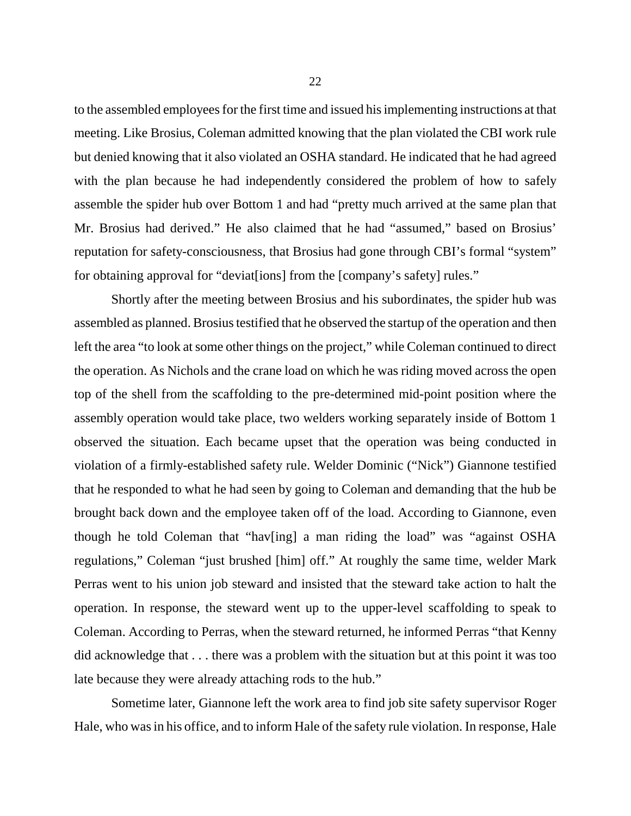to the assembled employees for the first time and issued his implementing instructions at that meeting. Like Brosius, Coleman admitted knowing that the plan violated the CBI work rule but denied knowing that it also violated an OSHA standard. He indicated that he had agreed with the plan because he had independently considered the problem of how to safely assemble the spider hub over Bottom 1 and had "pretty much arrived at the same plan that Mr. Brosius had derived." He also claimed that he had "assumed," based on Brosius' reputation for safety-consciousness, that Brosius had gone through CBI's formal "system" for obtaining approval for "deviat[ions] from the [company's safety] rules."

Shortly after the meeting between Brosius and his subordinates, the spider hub was assembled as planned. Brosius testified that he observed the startup of the operation and then left the area "to look at some other things on the project," while Coleman continued to direct the operation. As Nichols and the crane load on which he was riding moved across the open top of the shell from the scaffolding to the pre-determined mid-point position where the assembly operation would take place, two welders working separately inside of Bottom 1 observed the situation. Each became upset that the operation was being conducted in violation of a firmly-established safety rule. Welder Dominic ("Nick") Giannone testified that he responded to what he had seen by going to Coleman and demanding that the hub be brought back down and the employee taken off of the load. According to Giannone, even though he told Coleman that "hav[ing] a man riding the load" was "against OSHA regulations," Coleman "just brushed [him] off." At roughly the same time, welder Mark Perras went to his union job steward and insisted that the steward take action to halt the operation. In response, the steward went up to the upper-level scaffolding to speak to Coleman. According to Perras, when the steward returned, he informed Perras "that Kenny did acknowledge that . . . there was a problem with the situation but at this point it was too late because they were already attaching rods to the hub."

Sometime later, Giannone left the work area to find job site safety supervisor Roger Hale, who was in his office, and to inform Hale of the safety rule violation. In response, Hale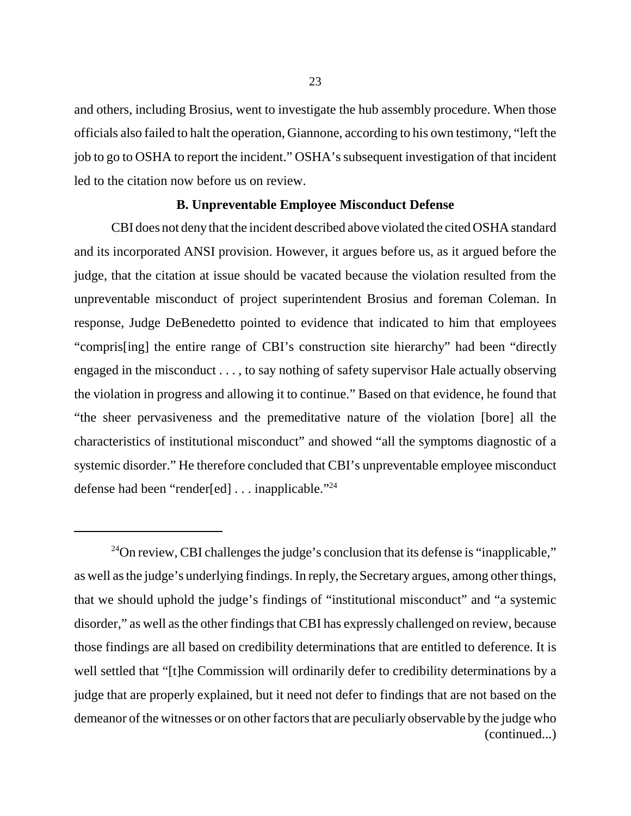and others, including Brosius, went to investigate the hub assembly procedure. When those officials also failed to halt the operation, Giannone, according to his own testimony, "left the job to go to OSHA to report the incident." OSHA's subsequent investigation of that incident led to the citation now before us on review.

### **B. Unpreventable Employee Misconduct Defense**

CBI does not deny that the incident described above violated the cited OSHA standard and its incorporated ANSI provision. However, it argues before us, as it argued before the judge, that the citation at issue should be vacated because the violation resulted from the unpreventable misconduct of project superintendent Brosius and foreman Coleman. In response, Judge DeBenedetto pointed to evidence that indicated to him that employees "compris[ing] the entire range of CBI's construction site hierarchy" had been "directly engaged in the misconduct . . . , to say nothing of safety supervisor Hale actually observing the violation in progress and allowing it to continue." Based on that evidence, he found that "the sheer pervasiveness and the premeditative nature of the violation [bore] all the characteristics of institutional misconduct" and showed "all the symptoms diagnostic of a systemic disorder." He therefore concluded that CBI's unpreventable employee misconduct defense had been "render[ed] . . . inapplicable."24

<sup>24</sup>On review, CBI challenges the judge's conclusion that its defense is "inapplicable," as well as the judge's underlying findings. In reply, the Secretary argues, among other things, that we should uphold the judge's findings of "institutional misconduct" and "a systemic disorder," as well as the other findings that CBI has expressly challenged on review, because those findings are all based on credibility determinations that are entitled to deference. It is well settled that "[t]he Commission will ordinarily defer to credibility determinations by a judge that are properly explained, but it need not defer to findings that are not based on the demeanor of the witnesses or on other factors that are peculiarly observable by the judge who (continued...)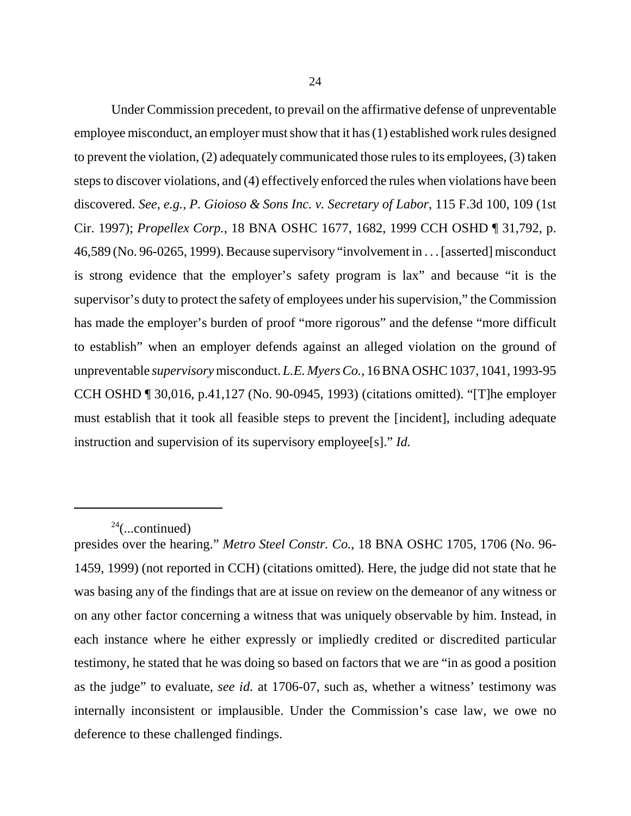Under Commission precedent, to prevail on the affirmative defense of unpreventable employee misconduct, an employer must show that it has (1) established work rules designed to prevent the violation, (2) adequately communicated those rules to its employees, (3) taken steps to discover violations, and (4) effectively enforced the rules when violations have been discovered. *See*, *e.g.*, *P. Gioioso & Sons Inc. v. Secretary of Labor*, 115 F.3d 100, 109 (1st Cir. 1997); *Propellex Corp.*, 18 BNA OSHC 1677, 1682, 1999 CCH OSHD ¶ 31,792, p. 46,589 (No. 96-0265, 1999). Because supervisory "involvement in . . . [asserted] misconduct is strong evidence that the employer's safety program is lax" and because "it is the supervisor's duty to protect the safety of employees under his supervision," the Commission has made the employer's burden of proof "more rigorous" and the defense "more difficult to establish" when an employer defends against an alleged violation on the ground of unpreventable *supervisory* misconduct. *L.E. Myers Co.*, 16 BNA OSHC 1037, 1041, 1993-95 CCH OSHD ¶ 30,016, p.41,127 (No. 90-0945, 1993) (citations omitted). "[T]he employer must establish that it took all feasible steps to prevent the [incident], including adequate instruction and supervision of its supervisory employee[s]." *Id.* 

 $24$ (...continued)

presides over the hearing." *Metro Steel Constr. Co.*, 18 BNA OSHC 1705, 1706 (No. 96- 1459, 1999) (not reported in CCH) (citations omitted). Here, the judge did not state that he was basing any of the findings that are at issue on review on the demeanor of any witness or on any other factor concerning a witness that was uniquely observable by him. Instead, in each instance where he either expressly or impliedly credited or discredited particular testimony, he stated that he was doing so based on factors that we are "in as good a position as the judge" to evaluate, *see id.* at 1706-07, such as, whether a witness' testimony was internally inconsistent or implausible. Under the Commission's case law, we owe no deference to these challenged findings.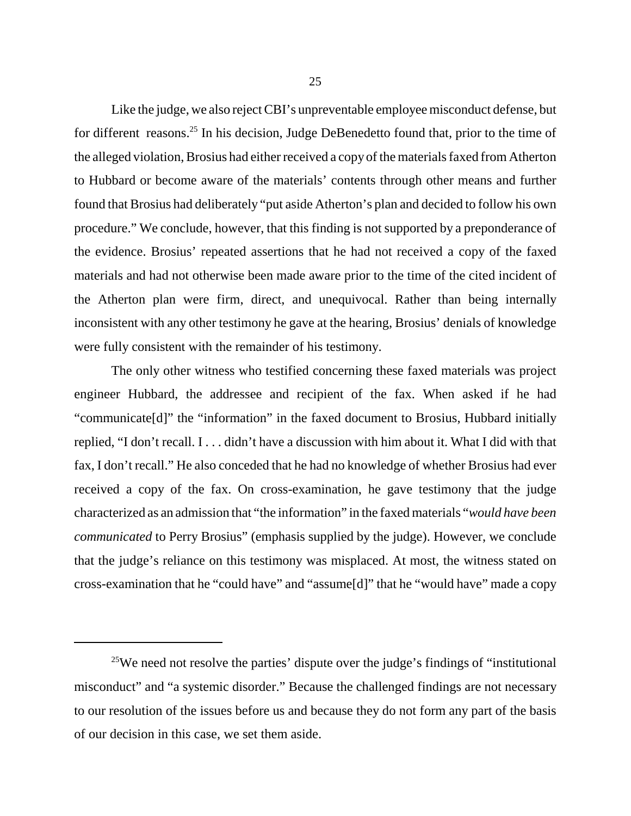Like the judge, we also reject CBI's unpreventable employee misconduct defense, but for different reasons.<sup>25</sup> In his decision, Judge DeBenedetto found that, prior to the time of the alleged violation, Brosius had either received a copy of the materials faxed from Atherton to Hubbard or become aware of the materials' contents through other means and further found that Brosius had deliberately "put aside Atherton's plan and decided to follow his own procedure." We conclude, however, that this finding is not supported by a preponderance of the evidence. Brosius' repeated assertions that he had not received a copy of the faxed materials and had not otherwise been made aware prior to the time of the cited incident of the Atherton plan were firm, direct, and unequivocal. Rather than being internally inconsistent with any other testimony he gave at the hearing, Brosius' denials of knowledge were fully consistent with the remainder of his testimony.

The only other witness who testified concerning these faxed materials was project engineer Hubbard, the addressee and recipient of the fax. When asked if he had "communicate[d]" the "information" in the faxed document to Brosius, Hubbard initially replied, "I don't recall. I . . . didn't have a discussion with him about it. What I did with that fax, I don't recall." He also conceded that he had no knowledge of whether Brosius had ever received a copy of the fax. On cross-examination, he gave testimony that the judge characterized as an admission that "the information" in the faxed materials "*would have been communicated* to Perry Brosius" (emphasis supplied by the judge). However, we conclude that the judge's reliance on this testimony was misplaced. At most, the witness stated on cross-examination that he "could have" and "assume[d]" that he "would have" made a copy

<sup>&</sup>lt;sup>25</sup>We need not resolve the parties' dispute over the judge's findings of "institutional" misconduct" and "a systemic disorder." Because the challenged findings are not necessary to our resolution of the issues before us and because they do not form any part of the basis of our decision in this case, we set them aside.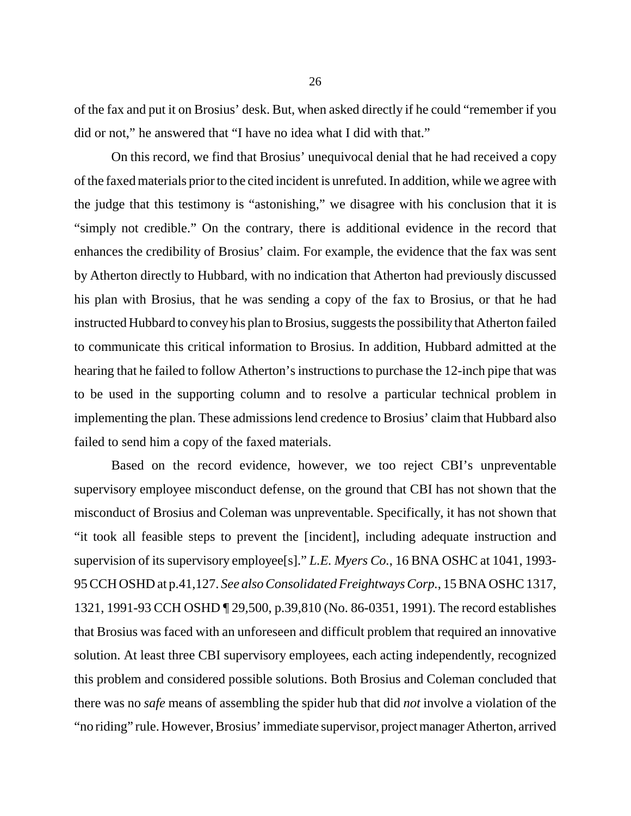of the fax and put it on Brosius' desk. But, when asked directly if he could "remember if you did or not," he answered that "I have no idea what I did with that."

On this record, we find that Brosius' unequivocal denial that he had received a copy of the faxed materials prior to the cited incident is unrefuted. In addition, while we agree with the judge that this testimony is "astonishing," we disagree with his conclusion that it is "simply not credible." On the contrary, there is additional evidence in the record that enhances the credibility of Brosius' claim. For example, the evidence that the fax was sent by Atherton directly to Hubbard, with no indication that Atherton had previously discussed his plan with Brosius, that he was sending a copy of the fax to Brosius, or that he had instructed Hubbard to convey his plan to Brosius, suggests the possibility that Atherton failed to communicate this critical information to Brosius. In addition, Hubbard admitted at the hearing that he failed to follow Atherton's instructions to purchase the 12-inch pipe that was to be used in the supporting column and to resolve a particular technical problem in implementing the plan. These admissions lend credence to Brosius' claim that Hubbard also failed to send him a copy of the faxed materials.

Based on the record evidence, however, we too reject CBI's unpreventable supervisory employee misconduct defense, on the ground that CBI has not shown that the misconduct of Brosius and Coleman was unpreventable. Specifically, it has not shown that "it took all feasible steps to prevent the [incident], including adequate instruction and supervision of its supervisory employee[s]." *L.E. Myers Co.*, 16 BNA OSHC at 1041, 1993- 95 CCH OSHD at p.41,127. *See alsoConsolidated Freightways Corp.*, 15 BNA OSHC 1317, 1321, 1991-93 CCH OSHD ¶ 29,500, p.39,810 (No. 86-0351, 1991). The record establishes that Brosius was faced with an unforeseen and difficult problem that required an innovative solution. At least three CBI supervisory employees, each acting independently, recognized this problem and considered possible solutions. Both Brosius and Coleman concluded that there was no *safe* means of assembling the spider hub that did *not* involve a violation of the "no riding" rule. However, Brosius' immediate supervisor, project manager Atherton, arrived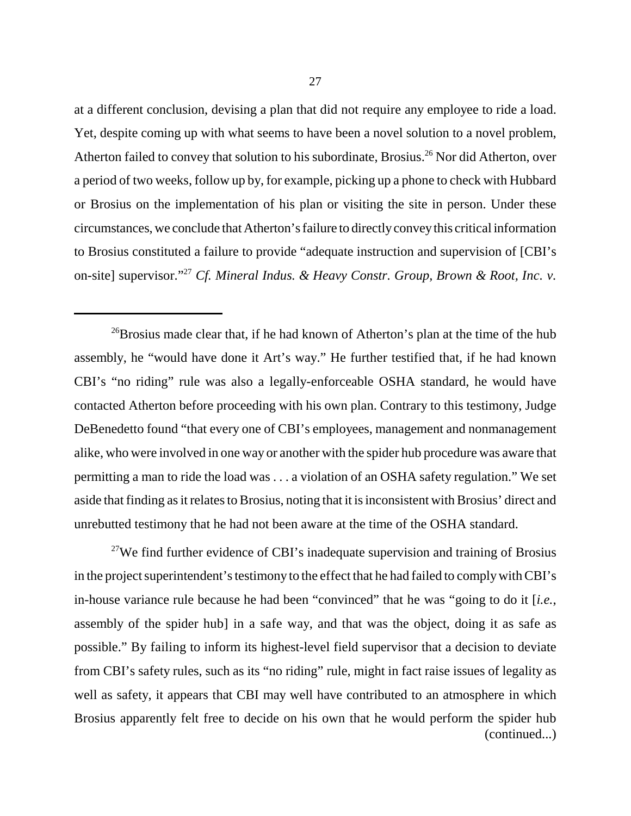at a different conclusion, devising a plan that did not require any employee to ride a load. Yet, despite coming up with what seems to have been a novel solution to a novel problem, Atherton failed to convey that solution to his subordinate, Brosius.<sup>26</sup> Nor did Atherton, over a period of two weeks, follow up by, for example, picking up a phone to check with Hubbard or Brosius on the implementation of his plan or visiting the site in person. Under these circumstances, we conclude that Atherton's failure to directly convey this critical information to Brosius constituted a failure to provide "adequate instruction and supervision of [CBI's on-site] supervisor."27 *Cf. Mineral Indus. & Heavy Constr. Group, Brown & Root, Inc. v.* 

<sup>26</sup>Brosius made clear that, if he had known of Atherton's plan at the time of the hub assembly, he "would have done it Art's way." He further testified that, if he had known CBI's "no riding" rule was also a legally-enforceable OSHA standard, he would have contacted Atherton before proceeding with his own plan. Contrary to this testimony, Judge DeBenedetto found "that every one of CBI's employees, management and nonmanagement alike, who were involved in one way or another with the spider hub procedure was aware that permitting a man to ride the load was . . . a violation of an OSHA safety regulation." We set aside that finding as it relates to Brosius, noting that it is inconsistent with Brosius' direct and unrebutted testimony that he had not been aware at the time of the OSHA standard.

<sup>27</sup>We find further evidence of CBI's inadequate supervision and training of Brosius in the project superintendent's testimony to the effect that he had failed to comply with CBI's in-house variance rule because he had been "convinced" that he was "going to do it [*i.e.*, assembly of the spider hub] in a safe way, and that was the object, doing it as safe as possible." By failing to inform its highest-level field supervisor that a decision to deviate from CBI's safety rules, such as its "no riding" rule, might in fact raise issues of legality as well as safety, it appears that CBI may well have contributed to an atmosphere in which Brosius apparently felt free to decide on his own that he would perform the spider hub (continued...)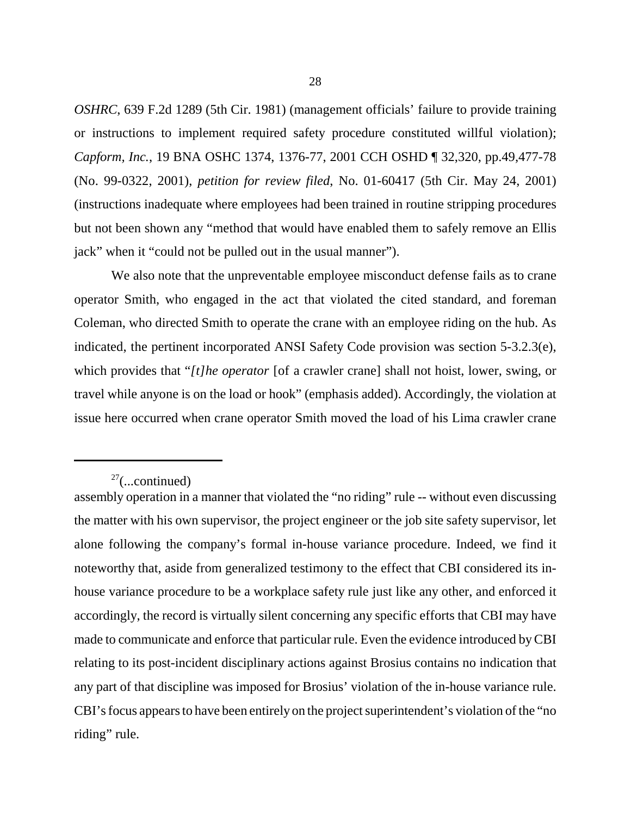*OSHRC*, 639 F.2d 1289 (5th Cir. 1981) (management officials' failure to provide training or instructions to implement required safety procedure constituted willful violation); *Capform, Inc.*, 19 BNA OSHC 1374, 1376-77, 2001 CCH OSHD ¶ 32,320, pp.49,477-78 (No. 99-0322, 2001), *petition for review filed*, No. 01-60417 (5th Cir. May 24, 2001) (instructions inadequate where employees had been trained in routine stripping procedures but not been shown any "method that would have enabled them to safely remove an Ellis jack" when it "could not be pulled out in the usual manner").

We also note that the unpreventable employee misconduct defense fails as to crane operator Smith, who engaged in the act that violated the cited standard, and foreman Coleman, who directed Smith to operate the crane with an employee riding on the hub. As indicated, the pertinent incorporated ANSI Safety Code provision was section 5-3.2.3(e), which provides that "*[t]he operator* [of a crawler crane] shall not hoist, lower, swing, or travel while anyone is on the load or hook" (emphasis added). Accordingly, the violation at issue here occurred when crane operator Smith moved the load of his Lima crawler crane

 $27$ (...continued)

assembly operation in a manner that violated the "no riding" rule -- without even discussing the matter with his own supervisor, the project engineer or the job site safety supervisor, let alone following the company's formal in-house variance procedure. Indeed, we find it noteworthy that, aside from generalized testimony to the effect that CBI considered its inhouse variance procedure to be a workplace safety rule just like any other, and enforced it accordingly, the record is virtually silent concerning any specific efforts that CBI may have made to communicate and enforce that particular rule. Even the evidence introduced by CBI relating to its post-incident disciplinary actions against Brosius contains no indication that any part of that discipline was imposed for Brosius' violation of the in-house variance rule. CBI's focus appears to have been entirely on the project superintendent's violation of the "no riding" rule.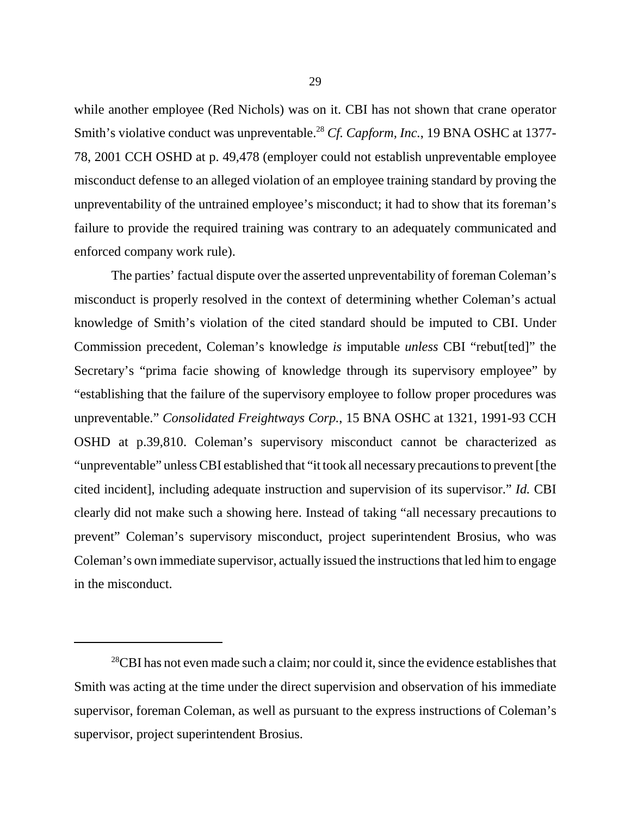while another employee (Red Nichols) was on it. CBI has not shown that crane operator Smith's violative conduct was unpreventable.<sup>28</sup> Cf. Capform, Inc., 19 BNA OSHC at 1377-78, 2001 CCH OSHD at p. 49,478 (employer could not establish unpreventable employee misconduct defense to an alleged violation of an employee training standard by proving the unpreventability of the untrained employee's misconduct; it had to show that its foreman's failure to provide the required training was contrary to an adequately communicated and enforced company work rule).

The parties' factual dispute over the asserted unpreventability of foreman Coleman's misconduct is properly resolved in the context of determining whether Coleman's actual knowledge of Smith's violation of the cited standard should be imputed to CBI. Under Commission precedent, Coleman's knowledge *is* imputable *unless* CBI "rebut[ted]" the Secretary's "prima facie showing of knowledge through its supervisory employee" by "establishing that the failure of the supervisory employee to follow proper procedures was unpreventable." *Consolidated Freightways Corp.*, 15 BNA OSHC at 1321, 1991-93 CCH OSHD at p.39,810. Coleman's supervisory misconduct cannot be characterized as "unpreventable" unless CBI established that "it took all necessaryprecautions to prevent [the cited incident], including adequate instruction and supervision of its supervisor." *Id.* CBI clearly did not make such a showing here. Instead of taking "all necessary precautions to prevent" Coleman's supervisory misconduct, project superintendent Brosius, who was Coleman's own immediate supervisor, actually issued the instructions that led him to engage in the misconduct.

 $28$ CBI has not even made such a claim; nor could it, since the evidence establishes that Smith was acting at the time under the direct supervision and observation of his immediate supervisor, foreman Coleman, as well as pursuant to the express instructions of Coleman's supervisor, project superintendent Brosius.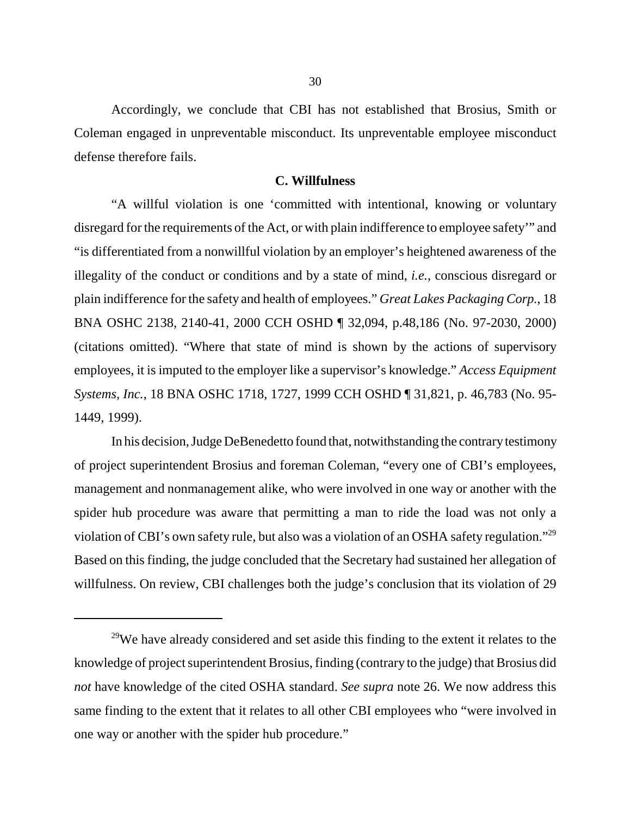Accordingly, we conclude that CBI has not established that Brosius, Smith or Coleman engaged in unpreventable misconduct. Its unpreventable employee misconduct defense therefore fails.

### **C. Willfulness**

"A willful violation is one 'committed with intentional, knowing or voluntary disregard for the requirements of the Act, or with plain indifference to employee safety'" and "is differentiated from a nonwillful violation by an employer's heightened awareness of the illegality of the conduct or conditions and by a state of mind, *i.e.*, conscious disregard or plain indifference for the safety and health of employees." *Great Lakes Packaging Corp.*, 18 BNA OSHC 2138, 2140-41, 2000 CCH OSHD ¶ 32,094, p.48,186 (No. 97-2030, 2000) (citations omitted). "Where that state of mind is shown by the actions of supervisory employees, it is imputed to the employer like a supervisor's knowledge." *Access Equipment Systems, Inc.*, 18 BNA OSHC 1718, 1727, 1999 CCH OSHD ¶ 31,821, p. 46,783 (No. 95- 1449, 1999).

In his decision, Judge DeBenedetto found that, notwithstanding the contrary testimony of project superintendent Brosius and foreman Coleman, "every one of CBI's employees, management and nonmanagement alike, who were involved in one way or another with the spider hub procedure was aware that permitting a man to ride the load was not only a violation of CBI's own safety rule, but also was a violation of an OSHA safety regulation."29 Based on this finding, the judge concluded that the Secretary had sustained her allegation of willfulness. On review, CBI challenges both the judge's conclusion that its violation of 29

 $29$ We have already considered and set aside this finding to the extent it relates to the knowledge of project superintendent Brosius, finding (contrary to the judge) that Brosius did *not* have knowledge of the cited OSHA standard. *See supra* note 26. We now address this same finding to the extent that it relates to all other CBI employees who "were involved in one way or another with the spider hub procedure."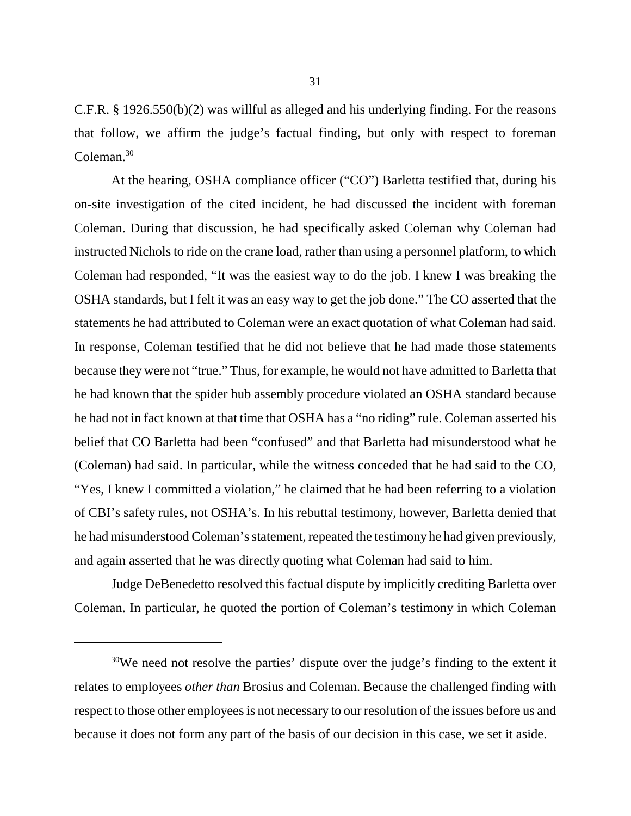C.F.R. § 1926.550(b)(2) was willful as alleged and his underlying finding. For the reasons that follow, we affirm the judge's factual finding, but only with respect to foreman Coleman.<sup>30</sup>

At the hearing, OSHA compliance officer ("CO") Barletta testified that, during his on-site investigation of the cited incident, he had discussed the incident with foreman Coleman. During that discussion, he had specifically asked Coleman why Coleman had instructed Nichols to ride on the crane load, rather than using a personnel platform, to which Coleman had responded, "It was the easiest way to do the job. I knew I was breaking the OSHA standards, but I felt it was an easy way to get the job done." The CO asserted that the statements he had attributed to Coleman were an exact quotation of what Coleman had said. In response, Coleman testified that he did not believe that he had made those statements because they were not "true." Thus, for example, he would not have admitted to Barletta that he had known that the spider hub assembly procedure violated an OSHA standard because he had not in fact known at that time that OSHA has a "no riding" rule. Coleman asserted his belief that CO Barletta had been "confused" and that Barletta had misunderstood what he (Coleman) had said. In particular, while the witness conceded that he had said to the CO, "Yes, I knew I committed a violation," he claimed that he had been referring to a violation of CBI's safety rules, not OSHA's. In his rebuttal testimony, however, Barletta denied that he had misunderstood Coleman's statement, repeated the testimony he had given previously, and again asserted that he was directly quoting what Coleman had said to him.

Judge DeBenedetto resolved this factual dispute by implicitly crediting Barletta over Coleman. In particular, he quoted the portion of Coleman's testimony in which Coleman

<sup>&</sup>lt;sup>30</sup>We need not resolve the parties' dispute over the judge's finding to the extent it relates to employees *other than* Brosius and Coleman. Because the challenged finding with respect to those other employees is not necessary to our resolution of the issues before us and because it does not form any part of the basis of our decision in this case, we set it aside.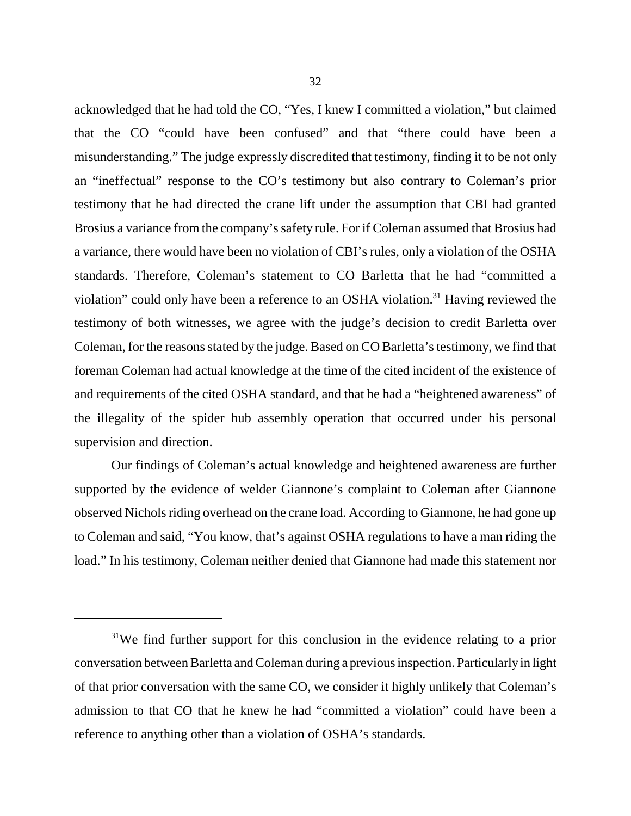acknowledged that he had told the CO, "Yes, I knew I committed a violation," but claimed that the CO "could have been confused" and that "there could have been a misunderstanding." The judge expressly discredited that testimony, finding it to be not only an "ineffectual" response to the CO's testimony but also contrary to Coleman's prior testimony that he had directed the crane lift under the assumption that CBI had granted Brosius a variance from the company's safety rule. For if Coleman assumed that Brosius had a variance, there would have been no violation of CBI's rules, only a violation of the OSHA standards. Therefore, Coleman's statement to CO Barletta that he had "committed a violation" could only have been a reference to an OSHA violation.<sup>31</sup> Having reviewed the testimony of both witnesses, we agree with the judge's decision to credit Barletta over Coleman, for the reasons stated by the judge. Based on CO Barletta's testimony, we find that foreman Coleman had actual knowledge at the time of the cited incident of the existence of and requirements of the cited OSHA standard, and that he had a "heightened awareness" of the illegality of the spider hub assembly operation that occurred under his personal supervision and direction.

Our findings of Coleman's actual knowledge and heightened awareness are further supported by the evidence of welder Giannone's complaint to Coleman after Giannone observed Nichols riding overhead on the crane load. According to Giannone, he had gone up to Coleman and said, "You know, that's against OSHA regulations to have a man riding the load." In his testimony, Coleman neither denied that Giannone had made this statement nor

<sup>&</sup>lt;sup>31</sup>We find further support for this conclusion in the evidence relating to a prior conversation between Barletta and Coleman during a previous inspection. Particularly in light of that prior conversation with the same CO, we consider it highly unlikely that Coleman's admission to that CO that he knew he had "committed a violation" could have been a reference to anything other than a violation of OSHA's standards.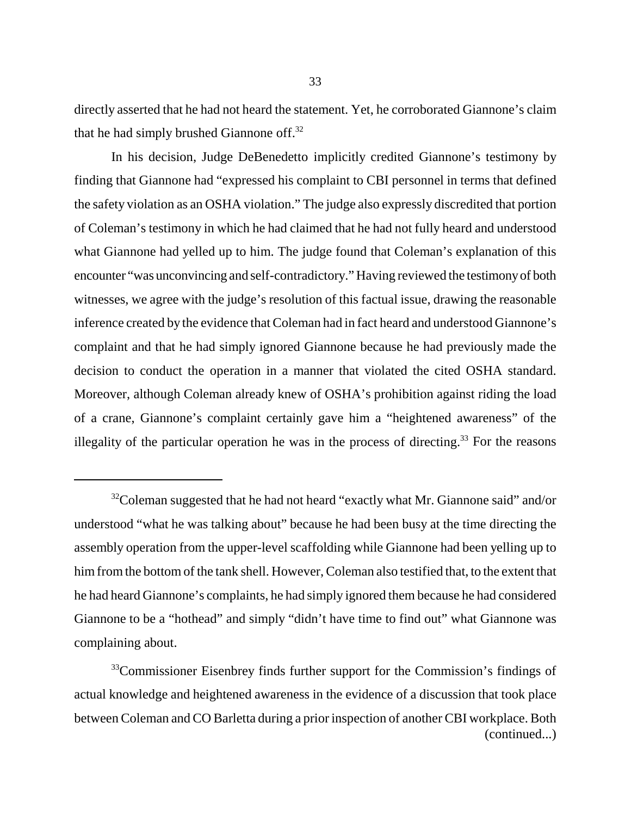directly asserted that he had not heard the statement. Yet, he corroborated Giannone's claim that he had simply brushed Giannone off.<sup>32</sup>

In his decision, Judge DeBenedetto implicitly credited Giannone's testimony by finding that Giannone had "expressed his complaint to CBI personnel in terms that defined the safety violation as an OSHA violation." The judge also expressly discredited that portion of Coleman's testimony in which he had claimed that he had not fully heard and understood what Giannone had yelled up to him. The judge found that Coleman's explanation of this encounter "was unconvincing and self-contradictory." Having reviewed the testimony of both witnesses, we agree with the judge's resolution of this factual issue, drawing the reasonable inference created by the evidence that Coleman had in fact heard and understood Giannone's complaint and that he had simply ignored Giannone because he had previously made the decision to conduct the operation in a manner that violated the cited OSHA standard. Moreover, although Coleman already knew of OSHA's prohibition against riding the load of a crane, Giannone's complaint certainly gave him a "heightened awareness" of the illegality of the particular operation he was in the process of directing.<sup>33</sup> For the reasons

 $32$ Coleman suggested that he had not heard "exactly what Mr. Giannone said" and/or understood "what he was talking about" because he had been busy at the time directing the assembly operation from the upper-level scaffolding while Giannone had been yelling up to him from the bottom of the tank shell. However, Coleman also testified that, to the extent that he had heard Giannone's complaints, he had simply ignored them because he had considered Giannone to be a "hothead" and simply "didn't have time to find out" what Giannone was complaining about.

<sup>&</sup>lt;sup>33</sup>Commissioner Eisenbrey finds further support for the Commission's findings of actual knowledge and heightened awareness in the evidence of a discussion that took place between Coleman and CO Barletta during a prior inspection of another CBI workplace. Both (continued...)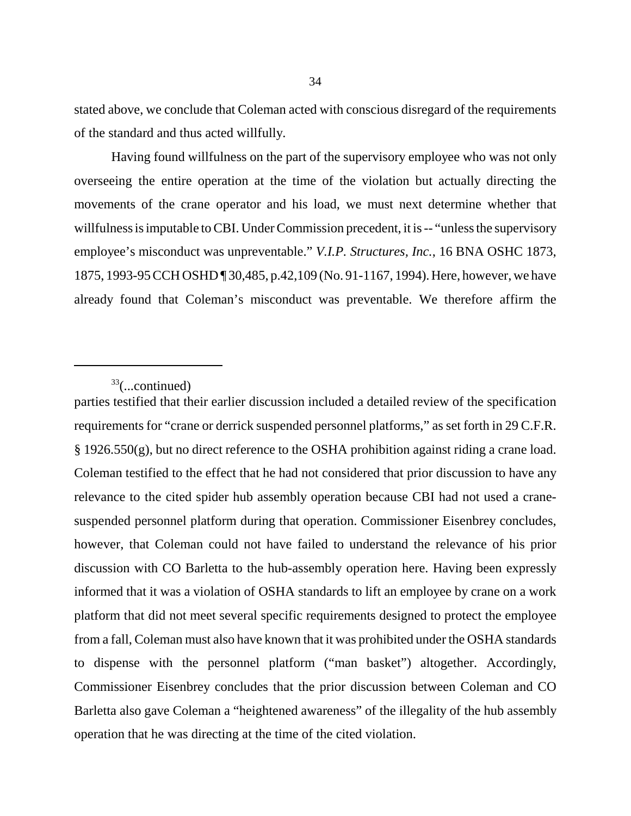stated above, we conclude that Coleman acted with conscious disregard of the requirements of the standard and thus acted willfully.

Having found willfulness on the part of the supervisory employee who was not only overseeing the entire operation at the time of the violation but actually directing the movements of the crane operator and his load, we must next determine whether that willfulness is imputable to CBI. Under Commission precedent, it is -- "unless the supervisory employee's misconduct was unpreventable." *V.I.P. Structures, Inc.*, 16 BNA OSHC 1873, 1875, 1993-95 CCH OSHD ¶ 30,485, p.42,109 (No. 91-1167, 1994). Here, however, we have already found that Coleman's misconduct was preventable. We therefore affirm the

 $33$ (...continued)

parties testified that their earlier discussion included a detailed review of the specification requirements for "crane or derrick suspended personnel platforms," as set forth in 29 C.F.R. § 1926.550(g), but no direct reference to the OSHA prohibition against riding a crane load. Coleman testified to the effect that he had not considered that prior discussion to have any relevance to the cited spider hub assembly operation because CBI had not used a cranesuspended personnel platform during that operation. Commissioner Eisenbrey concludes, however, that Coleman could not have failed to understand the relevance of his prior discussion with CO Barletta to the hub-assembly operation here. Having been expressly informed that it was a violation of OSHA standards to lift an employee by crane on a work platform that did not meet several specific requirements designed to protect the employee from a fall, Coleman must also have known that it was prohibited under the OSHA standards to dispense with the personnel platform ("man basket") altogether. Accordingly, Commissioner Eisenbrey concludes that the prior discussion between Coleman and CO Barletta also gave Coleman a "heightened awareness" of the illegality of the hub assembly operation that he was directing at the time of the cited violation.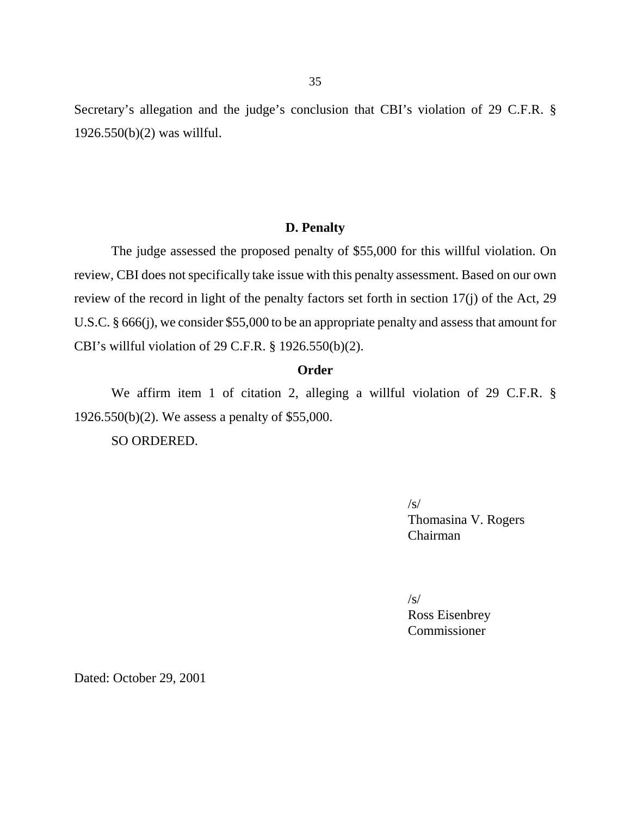Secretary's allegation and the judge's conclusion that CBI's violation of 29 C.F.R. § 1926.550(b)(2) was willful.

## **D. Penalty**

The judge assessed the proposed penalty of \$55,000 for this willful violation. On review, CBI does not specifically take issue with this penalty assessment. Based on our own review of the record in light of the penalty factors set forth in section 17(j) of the Act, 29 U.S.C. § 666(j), we consider \$55,000 to be an appropriate penalty and assess that amount for CBI's willful violation of 29 C.F.R. § 1926.550(b)(2).

#### **Order**

We affirm item 1 of citation 2, alleging a willful violation of 29 C.F.R. § 1926.550(b)(2). We assess a penalty of \$55,000.

SO ORDERED.

 $\sqrt{s}$ Thomasina V. Rogers Chairman

 $\sqrt{s}$ 

Ross Eisenbrey Commissioner

Dated: October 29, 2001